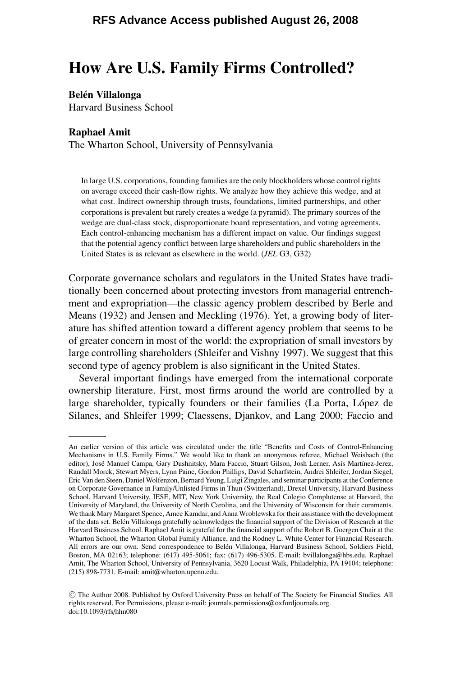# **How Are U.S. Family Firms Controlled?**

**Belen Villalonga ´**

Harvard Business School

#### **Raphael Amit**

The Wharton School, University of Pennsylvania

In large U.S. corporations, founding families are the only blockholders whose control rights on average exceed their cash-flow rights. We analyze how they achieve this wedge, and at what cost. Indirect ownership through trusts, foundations, limited partnerships, and other corporations is prevalent but rarely creates a wedge (a pyramid). The primary sources of the wedge are dual-class stock, disproportionate board representation, and voting agreements. Each control-enhancing mechanism has a different impact on value. Our findings suggest that the potential agency conflict between large shareholders and public shareholders in the United States is as relevant as elsewhere in the world. (*JEL* G3, G32)

Corporate governance scholars and regulators in the United States have traditionally been concerned about protecting investors from managerial entrenchment and expropriation—the classic agency problem described by Berle and Means (1932) and Jensen and Meckling (1976). Yet, a growing body of literature has shifted attention toward a different agency problem that seems to be of greater concern in most of the world: the expropriation of small investors by large controlling shareholders (Shleifer and Vishny 1997). We suggest that this second type of agency problem is also significant in the United States.

Several important findings have emerged from the international corporate ownership literature. First, most firms around the world are controlled by a large shareholder, typically founders or their families (La Porta, López de Silanes, and Shleifer 1999; Claessens, Djankov, and Lang 2000; Faccio and

An earlier version of this article was circulated under the title "Benefits and Costs of Control-Enhancing Mechanisms in U.S. Family Firms." We would like to thank an anonymous referee, Michael Weisbach (the editor), José Manuel Campa, Gary Dushnitsky, Mara Faccio, Stuart Gilson, Josh Lerner, Asís Martínez-Jerez, Randall Morck, Stewart Myers, Lynn Paine, Gordon Phillips, David Scharfstein, Andrei Shleifer, Jordan Siegel, Eric Van den Steen, Daniel Wolfenzon, Bernard Yeung, Luigi Zingales, and seminar participants at the Conference on Corporate Governance in Family/Unlisted Firms in Thun (Switzerland), Drexel University, Harvard Business School, Harvard University, IESE, MIT, New York University, the Real Colegio Complutense at Harvard, the University of Maryland, the University of North Carolina, and the University of Wisconsin for their comments. We thank Mary Margaret Spence, Amee Kamdar, and Anna Wroblewska for their assistance with the development of the data set. Belen Villalonga gratefully acknowledges the financial support of the Division of Research at the ´ Harvard Business School. Raphael Amit is grateful for the financial support of the Robert B. Goergen Chair at the Wharton School, the Wharton Global Family Alliance, and the Rodney L. White Center for Financial Research. All errors are our own. Send correspondence to Belen Villalonga, Harvard Business School, Soldiers Field, ´ Boston, MA 02163; telephone: (617) 495-5061; fax: (617) 496-5305. E-mail: bvillalonga@hbs.edu. Raphael Amit, The Wharton School, University of Pennsylvania, 3620 Locust Walk, Philadelphia, PA 19104; telephone: (215) 898-7731. E-mail: amit@wharton.upenn.edu.

<sup>C</sup> The Author 2008. Published by Oxford University Press on behalf of The Society for Financial Studies. All rights reserved. For Permissions, please e-mail: journals.permissions@oxfordjournals.org. doi:10.1093/rfs/hhn080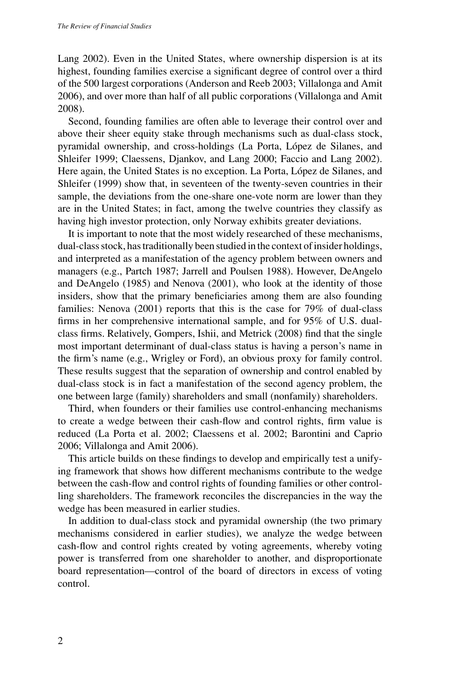Lang 2002). Even in the United States, where ownership dispersion is at its highest, founding families exercise a significant degree of control over a third of the 500 largest corporations (Anderson and Reeb 2003; Villalonga and Amit 2006), and over more than half of all public corporations (Villalonga and Amit 2008).

Second, founding families are often able to leverage their control over and above their sheer equity stake through mechanisms such as dual-class stock, pyramidal ownership, and cross-holdings (La Porta, Lopez de Silanes, and ´ Shleifer 1999; Claessens, Djankov, and Lang 2000; Faccio and Lang 2002). Here again, the United States is no exception. La Porta, López de Silanes, and Shleifer (1999) show that, in seventeen of the twenty-seven countries in their sample, the deviations from the one-share one-vote norm are lower than they are in the United States; in fact, among the twelve countries they classify as having high investor protection, only Norway exhibits greater deviations.

It is important to note that the most widely researched of these mechanisms, dual-class stock, has traditionally been studied in the context of insider holdings, and interpreted as a manifestation of the agency problem between owners and managers (e.g., Partch 1987; Jarrell and Poulsen 1988). However, DeAngelo and DeAngelo (1985) and Nenova (2001), who look at the identity of those insiders, show that the primary beneficiaries among them are also founding families: Nenova (2001) reports that this is the case for 79% of dual-class firms in her comprehensive international sample, and for 95% of U.S. dualclass firms. Relatively, Gompers, Ishii, and Metrick (2008) find that the single most important determinant of dual-class status is having a person's name in the firm's name (e.g., Wrigley or Ford), an obvious proxy for family control. These results suggest that the separation of ownership and control enabled by dual-class stock is in fact a manifestation of the second agency problem, the one between large (family) shareholders and small (nonfamily) shareholders.

Third, when founders or their families use control-enhancing mechanisms to create a wedge between their cash-flow and control rights, firm value is reduced (La Porta et al. 2002; Claessens et al. 2002; Barontini and Caprio 2006; Villalonga and Amit 2006).

This article builds on these findings to develop and empirically test a unifying framework that shows how different mechanisms contribute to the wedge between the cash-flow and control rights of founding families or other controlling shareholders. The framework reconciles the discrepancies in the way the wedge has been measured in earlier studies.

In addition to dual-class stock and pyramidal ownership (the two primary mechanisms considered in earlier studies), we analyze the wedge between cash-flow and control rights created by voting agreements, whereby voting power is transferred from one shareholder to another, and disproportionate board representation—control of the board of directors in excess of voting control.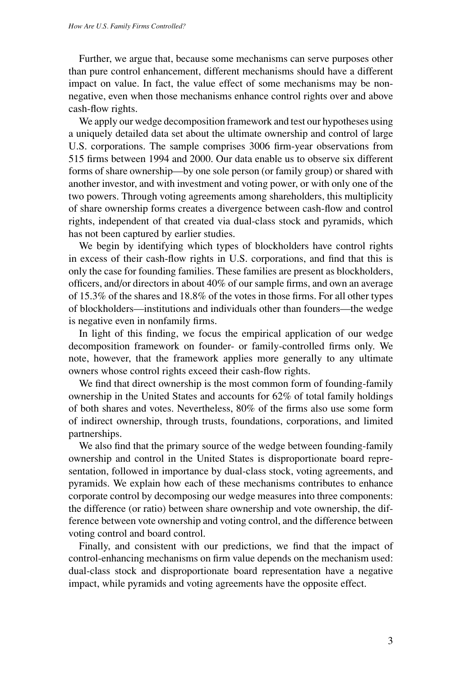Further, we argue that, because some mechanisms can serve purposes other than pure control enhancement, different mechanisms should have a different impact on value. In fact, the value effect of some mechanisms may be nonnegative, even when those mechanisms enhance control rights over and above cash-flow rights.

We apply our wedge decomposition framework and test our hypotheses using a uniquely detailed data set about the ultimate ownership and control of large U.S. corporations. The sample comprises 3006 firm-year observations from 515 firms between 1994 and 2000. Our data enable us to observe six different forms of share ownership—by one sole person (or family group) or shared with another investor, and with investment and voting power, or with only one of the two powers. Through voting agreements among shareholders, this multiplicity of share ownership forms creates a divergence between cash-flow and control rights, independent of that created via dual-class stock and pyramids, which has not been captured by earlier studies.

We begin by identifying which types of blockholders have control rights in excess of their cash-flow rights in U.S. corporations, and find that this is only the case for founding families. These families are present as blockholders, officers, and/or directors in about 40% of our sample firms, and own an average of 15.3% of the shares and 18.8% of the votes in those firms. For all other types of blockholders—institutions and individuals other than founders—the wedge is negative even in nonfamily firms.

In light of this finding, we focus the empirical application of our wedge decomposition framework on founder- or family-controlled firms only. We note, however, that the framework applies more generally to any ultimate owners whose control rights exceed their cash-flow rights.

We find that direct ownership is the most common form of founding-family ownership in the United States and accounts for 62% of total family holdings of both shares and votes. Nevertheless, 80% of the firms also use some form of indirect ownership, through trusts, foundations, corporations, and limited partnerships.

We also find that the primary source of the wedge between founding-family ownership and control in the United States is disproportionate board representation, followed in importance by dual-class stock, voting agreements, and pyramids. We explain how each of these mechanisms contributes to enhance corporate control by decomposing our wedge measures into three components: the difference (or ratio) between share ownership and vote ownership, the difference between vote ownership and voting control, and the difference between voting control and board control.

Finally, and consistent with our predictions, we find that the impact of control-enhancing mechanisms on firm value depends on the mechanism used: dual-class stock and disproportionate board representation have a negative impact, while pyramids and voting agreements have the opposite effect.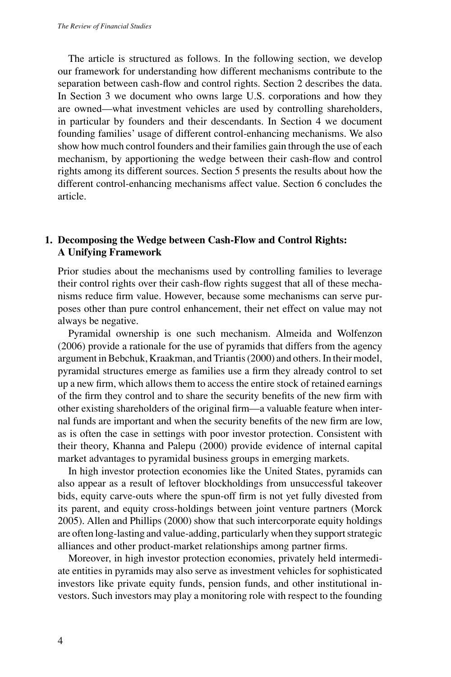The article is structured as follows. In the following section, we develop our framework for understanding how different mechanisms contribute to the separation between cash-flow and control rights. Section 2 describes the data. In Section 3 we document who owns large U.S. corporations and how they are owned—what investment vehicles are used by controlling shareholders, in particular by founders and their descendants. In Section 4 we document founding families' usage of different control-enhancing mechanisms. We also show how much control founders and their families gain through the use of each mechanism, by apportioning the wedge between their cash-flow and control rights among its different sources. Section 5 presents the results about how the different control-enhancing mechanisms affect value. Section 6 concludes the article.

# **1. Decomposing the Wedge between Cash-Flow and Control Rights: A Unifying Framework**

Prior studies about the mechanisms used by controlling families to leverage their control rights over their cash-flow rights suggest that all of these mechanisms reduce firm value. However, because some mechanisms can serve purposes other than pure control enhancement, their net effect on value may not always be negative.

Pyramidal ownership is one such mechanism. Almeida and Wolfenzon (2006) provide a rationale for the use of pyramids that differs from the agency argument in Bebchuk, Kraakman, and Triantis (2000) and others. In their model, pyramidal structures emerge as families use a firm they already control to set up a new firm, which allows them to access the entire stock of retained earnings of the firm they control and to share the security benefits of the new firm with other existing shareholders of the original firm—a valuable feature when internal funds are important and when the security benefits of the new firm are low, as is often the case in settings with poor investor protection. Consistent with their theory, Khanna and Palepu (2000) provide evidence of internal capital market advantages to pyramidal business groups in emerging markets.

In high investor protection economies like the United States, pyramids can also appear as a result of leftover blockholdings from unsuccessful takeover bids, equity carve-outs where the spun-off firm is not yet fully divested from its parent, and equity cross-holdings between joint venture partners (Morck 2005). Allen and Phillips (2000) show that such intercorporate equity holdings are often long-lasting and value-adding, particularly when they support strategic alliances and other product-market relationships among partner firms.

Moreover, in high investor protection economies, privately held intermediate entities in pyramids may also serve as investment vehicles for sophisticated investors like private equity funds, pension funds, and other institutional investors. Such investors may play a monitoring role with respect to the founding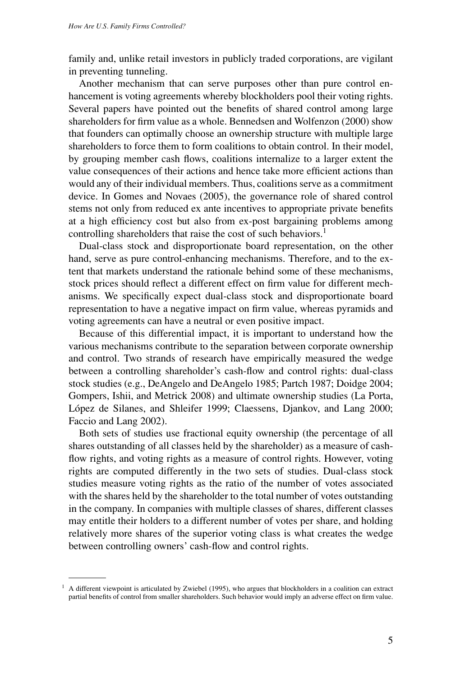family and, unlike retail investors in publicly traded corporations, are vigilant in preventing tunneling.

Another mechanism that can serve purposes other than pure control enhancement is voting agreements whereby blockholders pool their voting rights. Several papers have pointed out the benefits of shared control among large shareholders for firm value as a whole. Bennedsen and Wolfenzon (2000) show that founders can optimally choose an ownership structure with multiple large shareholders to force them to form coalitions to obtain control. In their model, by grouping member cash flows, coalitions internalize to a larger extent the value consequences of their actions and hence take more efficient actions than would any of their individual members. Thus, coalitions serve as a commitment device. In Gomes and Novaes (2005), the governance role of shared control stems not only from reduced ex ante incentives to appropriate private benefits at a high efficiency cost but also from ex-post bargaining problems among controlling shareholders that raise the cost of such behaviors.<sup>1</sup>

Dual-class stock and disproportionate board representation, on the other hand, serve as pure control-enhancing mechanisms. Therefore, and to the extent that markets understand the rationale behind some of these mechanisms, stock prices should reflect a different effect on firm value for different mechanisms. We specifically expect dual-class stock and disproportionate board representation to have a negative impact on firm value, whereas pyramids and voting agreements can have a neutral or even positive impact.

Because of this differential impact, it is important to understand how the various mechanisms contribute to the separation between corporate ownership and control. Two strands of research have empirically measured the wedge between a controlling shareholder's cash-flow and control rights: dual-class stock studies (e.g., DeAngelo and DeAngelo 1985; Partch 1987; Doidge 2004; Gompers, Ishii, and Metrick 2008) and ultimate ownership studies (La Porta, López de Silanes, and Shleifer 1999; Claessens, Djankov, and Lang 2000; Faccio and Lang 2002).

Both sets of studies use fractional equity ownership (the percentage of all shares outstanding of all classes held by the shareholder) as a measure of cashflow rights, and voting rights as a measure of control rights. However, voting rights are computed differently in the two sets of studies. Dual-class stock studies measure voting rights as the ratio of the number of votes associated with the shares held by the shareholder to the total number of votes outstanding in the company. In companies with multiple classes of shares, different classes may entitle their holders to a different number of votes per share, and holding relatively more shares of the superior voting class is what creates the wedge between controlling owners' cash-flow and control rights.

<sup>&</sup>lt;sup>1</sup> A different viewpoint is articulated by Zwiebel (1995), who argues that blockholders in a coalition can extract partial benefits of control from smaller shareholders. Such behavior would imply an adverse effect on firm value.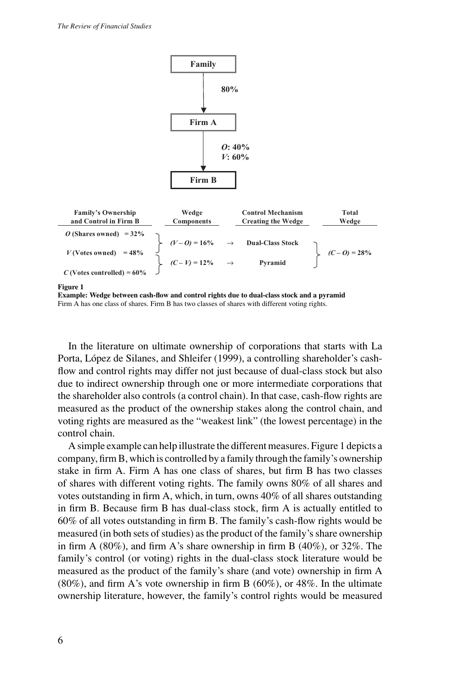

**Figure 1**

**Example: Wedge between cash-flow and control rights due to dual-class stock and a pyramid** Firm A has one class of shares. Firm B has two classes of shares with different voting rights.

In the literature on ultimate ownership of corporations that starts with La Porta, López de Silanes, and Shleifer (1999), a controlling shareholder's cashflow and control rights may differ not just because of dual-class stock but also due to indirect ownership through one or more intermediate corporations that the shareholder also controls (a control chain). In that case, cash-flow rights are measured as the product of the ownership stakes along the control chain, and voting rights are measured as the "weakest link" (the lowest percentage) in the control chain.

A simple example can help illustrate the different measures. Figure 1 depicts a company, firm B, which is controlled by a family through the family's ownership stake in firm A. Firm A has one class of shares, but firm B has two classes of shares with different voting rights. The family owns 80% of all shares and votes outstanding in firm A, which, in turn, owns 40% of all shares outstanding in firm B. Because firm B has dual-class stock, firm A is actually entitled to 60% of all votes outstanding in firm B. The family's cash-flow rights would be measured (in both sets of studies) as the product of the family's share ownership in firm A (80%), and firm A's share ownership in firm B (40%), or 32%. The family's control (or voting) rights in the dual-class stock literature would be measured as the product of the family's share (and vote) ownership in firm A (80%), and firm A's vote ownership in firm B (60%), or 48%. In the ultimate ownership literature, however, the family's control rights would be measured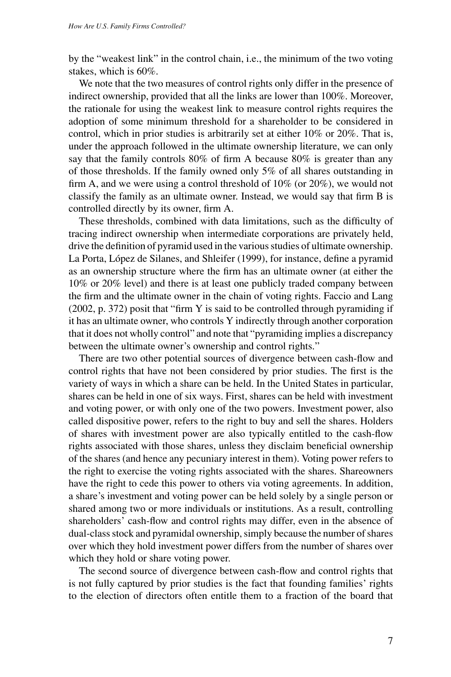by the "weakest link" in the control chain, i.e., the minimum of the two voting stakes, which is 60%.

We note that the two measures of control rights only differ in the presence of indirect ownership, provided that all the links are lower than 100%. Moreover, the rationale for using the weakest link to measure control rights requires the adoption of some minimum threshold for a shareholder to be considered in control, which in prior studies is arbitrarily set at either 10% or 20%. That is, under the approach followed in the ultimate ownership literature, we can only say that the family controls 80% of firm A because 80% is greater than any of those thresholds. If the family owned only 5% of all shares outstanding in firm A, and we were using a control threshold of 10% (or 20%), we would not classify the family as an ultimate owner. Instead, we would say that firm B is controlled directly by its owner, firm A.

These thresholds, combined with data limitations, such as the difficulty of tracing indirect ownership when intermediate corporations are privately held, drive the definition of pyramid used in the various studies of ultimate ownership. La Porta, López de Silanes, and Shleifer (1999), for instance, define a pyramid as an ownership structure where the firm has an ultimate owner (at either the 10% or 20% level) and there is at least one publicly traded company between the firm and the ultimate owner in the chain of voting rights. Faccio and Lang (2002, p. 372) posit that "firm Y is said to be controlled through pyramiding if it has an ultimate owner, who controls Y indirectly through another corporation that it does not wholly control" and note that "pyramiding implies a discrepancy between the ultimate owner's ownership and control rights."

There are two other potential sources of divergence between cash-flow and control rights that have not been considered by prior studies. The first is the variety of ways in which a share can be held. In the United States in particular, shares can be held in one of six ways. First, shares can be held with investment and voting power, or with only one of the two powers. Investment power, also called dispositive power, refers to the right to buy and sell the shares. Holders of shares with investment power are also typically entitled to the cash-flow rights associated with those shares, unless they disclaim beneficial ownership of the shares (and hence any pecuniary interest in them). Voting power refers to the right to exercise the voting rights associated with the shares. Shareowners have the right to cede this power to others via voting agreements. In addition, a share's investment and voting power can be held solely by a single person or shared among two or more individuals or institutions. As a result, controlling shareholders' cash-flow and control rights may differ, even in the absence of dual-class stock and pyramidal ownership, simply because the number of shares over which they hold investment power differs from the number of shares over which they hold or share voting power.

The second source of divergence between cash-flow and control rights that is not fully captured by prior studies is the fact that founding families' rights to the election of directors often entitle them to a fraction of the board that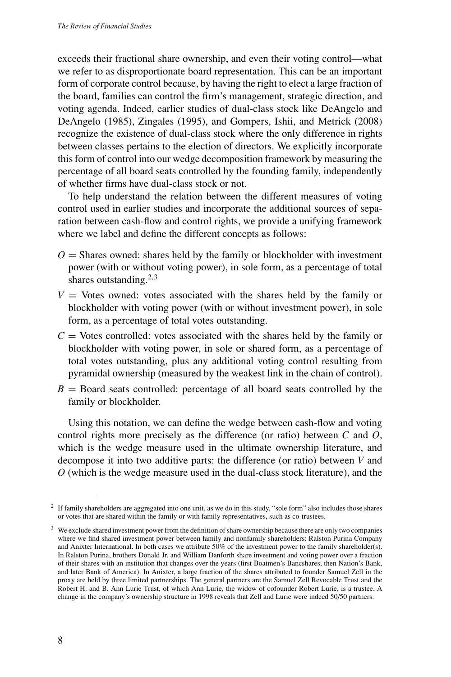exceeds their fractional share ownership, and even their voting control—what we refer to as disproportionate board representation. This can be an important form of corporate control because, by having the right to elect a large fraction of the board, families can control the firm's management, strategic direction, and voting agenda. Indeed, earlier studies of dual-class stock like DeAngelo and DeAngelo (1985), Zingales (1995), and Gompers, Ishii, and Metrick (2008) recognize the existence of dual-class stock where the only difference in rights between classes pertains to the election of directors. We explicitly incorporate this form of control into our wedge decomposition framework by measuring the percentage of all board seats controlled by the founding family, independently of whether firms have dual-class stock or not.

To help understand the relation between the different measures of voting control used in earlier studies and incorporate the additional sources of separation between cash-flow and control rights, we provide a unifying framework where we label and define the different concepts as follows:

- $O =$  Shares owned: shares held by the family or blockholder with investment power (with or without voting power), in sole form, as a percentage of total shares outstanding. $2,3$
- $V =$  Votes owned: votes associated with the shares held by the family or blockholder with voting power (with or without investment power), in sole form, as a percentage of total votes outstanding.
- $C =$  Votes controlled: votes associated with the shares held by the family or blockholder with voting power, in sole or shared form, as a percentage of total votes outstanding, plus any additional voting control resulting from pyramidal ownership (measured by the weakest link in the chain of control).
- $B =$  Board seats controlled: percentage of all board seats controlled by the family or blockholder.

Using this notation, we can define the wedge between cash-flow and voting control rights more precisely as the difference (or ratio) between *C* and *O*, which is the wedge measure used in the ultimate ownership literature, and decompose it into two additive parts: the difference (or ratio) between *V* and *O* (which is the wedge measure used in the dual-class stock literature), and the

<sup>&</sup>lt;sup>2</sup> If family shareholders are aggregated into one unit, as we do in this study, "sole form" also includes those shares or votes that are shared within the family or with family representatives, such as co-trustees.

<sup>&</sup>lt;sup>3</sup> We exclude shared investment power from the definition of share ownership because there are only two companies where we find shared investment power between family and nonfamily shareholders: Ralston Purina Company and Anixter International. In both cases we attribute 50% of the investment power to the family shareholder(s). In Ralston Purina, brothers Donald Jr. and William Danforth share investment and voting power over a fraction of their shares with an institution that changes over the years (first Boatmen's Bancshares, then Nation's Bank, and later Bank of America). In Anixter, a large fraction of the shares attributed to founder Samuel Zell in the proxy are held by three limited partnerships. The general partners are the Samuel Zell Revocable Trust and the Robert H. and B. Ann Lurie Trust, of which Ann Lurie, the widow of cofounder Robert Lurie, is a trustee. A change in the company's ownership structure in 1998 reveals that Zell and Lurie were indeed 50/50 partners.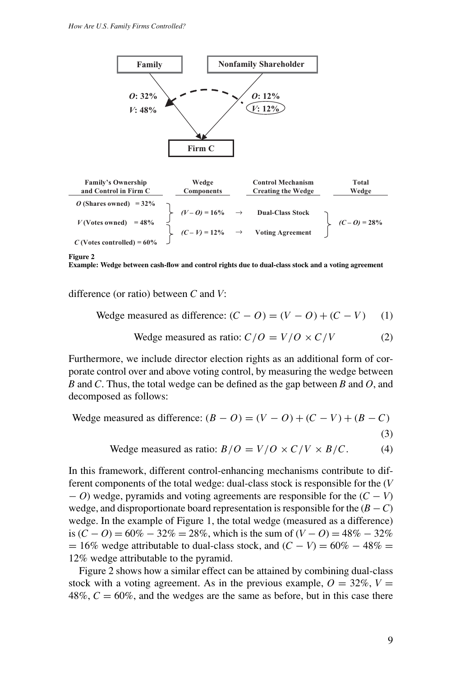

**Family's Ownership and Control in Firm C Wedge Components Control Mechanism Creating the Wedge Total Wedge**  $O$  (Shares owned) =  $32\%$  $(-0) = 16\%$   $\rightarrow$  **Dual-Class Stock** *V* (Votes owned) = 48% <sup>2</sup> *(C – V)* **= 12% Voting Agreement**  $C$  (Votes controlled)  $\rightarrow$  $\rightarrow$ 

**Figure 2**



difference (or ratio) between *C* and *V*:

Wedge measured as difference:  $(C - O) = (V - O) + (C - V)$  (1)

$$
Wedge measured as ratio: C/O = V/O \times C/V
$$
 (2)

Furthermore, we include director election rights as an additional form of corporate control over and above voting control, by measuring the wedge between *B* and *C*. Thus, the total wedge can be defined as the gap between *B* and *O*, and decomposed as follows:

Wedge measured as difference:  $(B - O) = (V - O) + (C - V) + (B - C)$ 

(3)

Wedge measured as ratio: 
$$
B/O = V/O \times C/V \times B/C
$$
. (4)

In this framework, different control-enhancing mechanisms contribute to different components of the total wedge: dual-class stock is responsible for the (*V* − *O*) wedge, pyramids and voting agreements are responsible for the (*C* − *V*) wedge, and disproportionate board representation is responsible for the  $(B - C)$ wedge. In the example of Figure 1, the total wedge (measured as a difference) is  $(C - O) = 60\% - 32\% = 28\%$ , which is the sum of  $(V – O) = 48\% - 32\%$  $= 16\%$  wedge attributable to dual-class stock, and  $(C - V) = 60\% - 48\% =$ 12% wedge attributable to the pyramid.

Figure 2 shows how a similar effect can be attained by combining dual-class stock with a voting agreement. As in the previous example,  $O = 32\%$ ,  $V =$  $48\%, C = 60\%$ , and the wedges are the same as before, but in this case there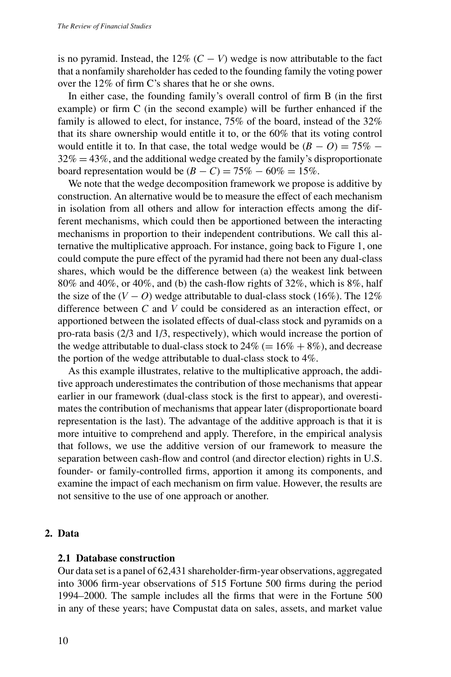is no pyramid. Instead, the 12%  $(C - V)$  wedge is now attributable to the fact that a nonfamily shareholder has ceded to the founding family the voting power over the 12% of firm C's shares that he or she owns.

In either case, the founding family's overall control of firm B (in the first example) or firm C (in the second example) will be further enhanced if the family is allowed to elect, for instance, 75% of the board, instead of the 32% that its share ownership would entitle it to, or the 60% that its voting control would entitle it to. In that case, the total wedge would be  $(B - O) = 75\%$  −  $32\% = 43\%$ , and the additional wedge created by the family's disproportionate board representation would be  $(B - C) = 75\% - 60\% = 15\%.$ 

We note that the wedge decomposition framework we propose is additive by construction. An alternative would be to measure the effect of each mechanism in isolation from all others and allow for interaction effects among the different mechanisms, which could then be apportioned between the interacting mechanisms in proportion to their independent contributions. We call this alternative the multiplicative approach. For instance, going back to Figure 1, one could compute the pure effect of the pyramid had there not been any dual-class shares, which would be the difference between (a) the weakest link between 80% and 40%, or 40%, and (b) the cash-flow rights of  $32\%$ , which is 8%, half the size of the  $(V - O)$  wedge attributable to dual-class stock (16%). The 12% difference between *C* and *V* could be considered as an interaction effect, or apportioned between the isolated effects of dual-class stock and pyramids on a pro-rata basis (2/3 and 1/3, respectively), which would increase the portion of the wedge attributable to dual-class stock to  $24\%$  (=  $16\% + 8\%$ ), and decrease the portion of the wedge attributable to dual-class stock to 4%.

As this example illustrates, relative to the multiplicative approach, the additive approach underestimates the contribution of those mechanisms that appear earlier in our framework (dual-class stock is the first to appear), and overestimates the contribution of mechanisms that appear later (disproportionate board representation is the last). The advantage of the additive approach is that it is more intuitive to comprehend and apply. Therefore, in the empirical analysis that follows, we use the additive version of our framework to measure the separation between cash-flow and control (and director election) rights in U.S. founder- or family-controlled firms, apportion it among its components, and examine the impact of each mechanism on firm value. However, the results are not sensitive to the use of one approach or another.

## **2. Data**

## **2.1 Database construction**

Our data set is a panel of 62,431 shareholder-firm-year observations, aggregated into 3006 firm-year observations of 515 Fortune 500 firms during the period 1994–2000. The sample includes all the firms that were in the Fortune 500 in any of these years; have Compustat data on sales, assets, and market value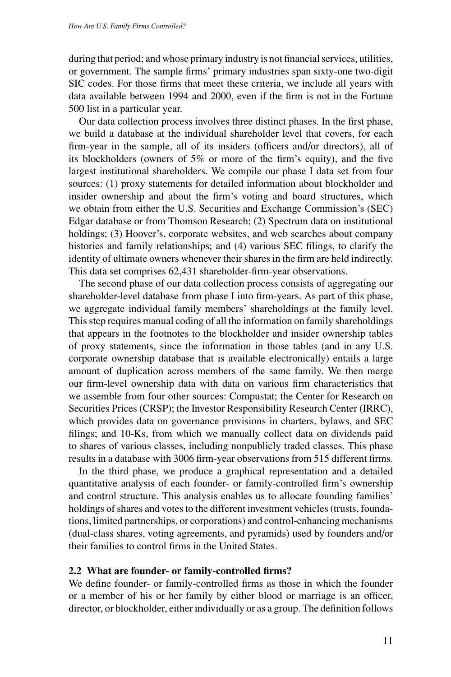during that period; and whose primary industry is not financial services, utilities, or government. The sample firms' primary industries span sixty-one two-digit SIC codes. For those firms that meet these criteria, we include all years with data available between 1994 and 2000, even if the firm is not in the Fortune 500 list in a particular year.

Our data collection process involves three distinct phases. In the first phase, we build a database at the individual shareholder level that covers, for each firm-year in the sample, all of its insiders (officers and/or directors), all of its blockholders (owners of 5% or more of the firm's equity), and the five largest institutional shareholders. We compile our phase I data set from four sources: (1) proxy statements for detailed information about blockholder and insider ownership and about the firm's voting and board structures, which we obtain from either the U.S. Securities and Exchange Commission's (SEC) Edgar database or from Thomson Research; (2) Spectrum data on institutional holdings; (3) Hoover's, corporate websites, and web searches about company histories and family relationships; and (4) various SEC filings, to clarify the identity of ultimate owners whenever their shares in the firm are held indirectly. This data set comprises 62,431 shareholder-firm-year observations.

The second phase of our data collection process consists of aggregating our shareholder-level database from phase I into firm-years. As part of this phase, we aggregate individual family members' shareholdings at the family level. This step requires manual coding of all the information on family shareholdings that appears in the footnotes to the blockholder and insider ownership tables of proxy statements, since the information in those tables (and in any U.S. corporate ownership database that is available electronically) entails a large amount of duplication across members of the same family. We then merge our firm-level ownership data with data on various firm characteristics that we assemble from four other sources: Compustat; the Center for Research on Securities Prices (CRSP); the Investor Responsibility Research Center (IRRC), which provides data on governance provisions in charters, bylaws, and SEC filings; and 10-Ks, from which we manually collect data on dividends paid to shares of various classes, including nonpublicly traded classes. This phase results in a database with 3006 firm-year observations from 515 different firms.

In the third phase, we produce a graphical representation and a detailed quantitative analysis of each founder- or family-controlled firm's ownership and control structure. This analysis enables us to allocate founding families' holdings of shares and votes to the different investment vehicles (trusts, foundations, limited partnerships, or corporations) and control-enhancing mechanisms (dual-class shares, voting agreements, and pyramids) used by founders and/or their families to control firms in the United States.

#### **2.2 What are founder- or family-controlled firms?**

We define founder- or family-controlled firms as those in which the founder or a member of his or her family by either blood or marriage is an officer, director, or blockholder, either individually or as a group. The definition follows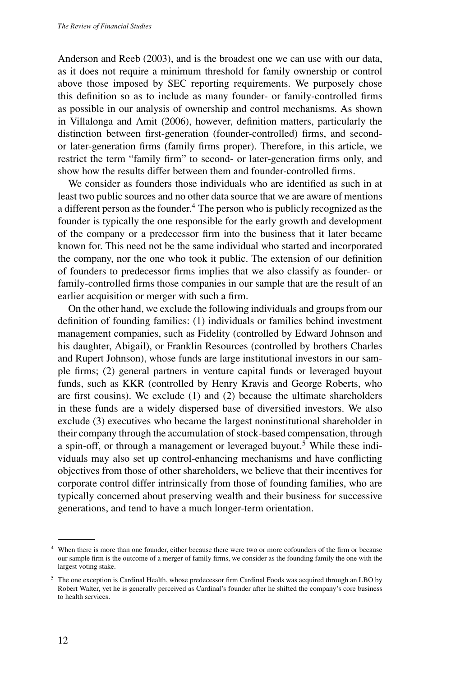Anderson and Reeb (2003), and is the broadest one we can use with our data, as it does not require a minimum threshold for family ownership or control above those imposed by SEC reporting requirements. We purposely chose this definition so as to include as many founder- or family-controlled firms as possible in our analysis of ownership and control mechanisms. As shown in Villalonga and Amit (2006), however, definition matters, particularly the distinction between first-generation (founder-controlled) firms, and secondor later-generation firms (family firms proper). Therefore, in this article, we restrict the term "family firm" to second- or later-generation firms only, and show how the results differ between them and founder-controlled firms.

We consider as founders those individuals who are identified as such in at least two public sources and no other data source that we are aware of mentions a different person as the founder.<sup>4</sup> The person who is publicly recognized as the founder is typically the one responsible for the early growth and development of the company or a predecessor firm into the business that it later became known for. This need not be the same individual who started and incorporated the company, nor the one who took it public. The extension of our definition of founders to predecessor firms implies that we also classify as founder- or family-controlled firms those companies in our sample that are the result of an earlier acquisition or merger with such a firm.

On the other hand, we exclude the following individuals and groups from our definition of founding families: (1) individuals or families behind investment management companies, such as Fidelity (controlled by Edward Johnson and his daughter, Abigail), or Franklin Resources (controlled by brothers Charles and Rupert Johnson), whose funds are large institutional investors in our sample firms; (2) general partners in venture capital funds or leveraged buyout funds, such as KKR (controlled by Henry Kravis and George Roberts, who are first cousins). We exclude (1) and (2) because the ultimate shareholders in these funds are a widely dispersed base of diversified investors. We also exclude (3) executives who became the largest noninstitutional shareholder in their company through the accumulation of stock-based compensation, through a spin-off, or through a management or leveraged buyout.<sup>5</sup> While these individuals may also set up control-enhancing mechanisms and have conflicting objectives from those of other shareholders, we believe that their incentives for corporate control differ intrinsically from those of founding families, who are typically concerned about preserving wealth and their business for successive generations, and tend to have a much longer-term orientation.

<sup>4</sup> When there is more than one founder, either because there were two or more cofounders of the firm or because our sample firm is the outcome of a merger of family firms, we consider as the founding family the one with the largest voting stake.

<sup>&</sup>lt;sup>5</sup> The one exception is Cardinal Health, whose predecessor firm Cardinal Foods was acquired through an LBO by Robert Walter, yet he is generally perceived as Cardinal's founder after he shifted the company's core business to health services.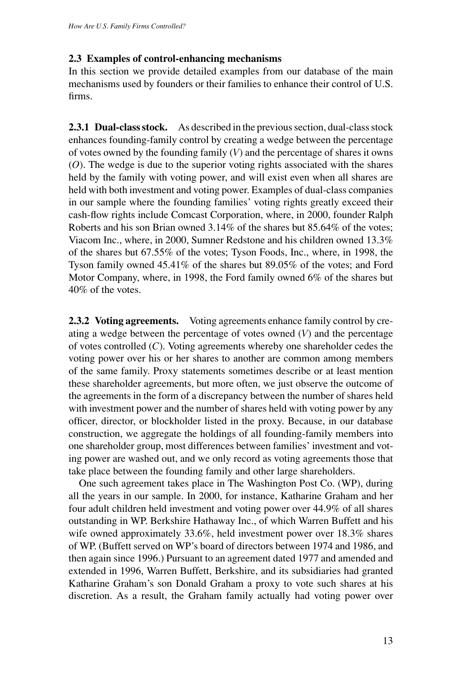# **2.3 Examples of control-enhancing mechanisms**

In this section we provide detailed examples from our database of the main mechanisms used by founders or their families to enhance their control of U.S. firms.

**2.3.1 Dual-class stock.** As described in the previous section, dual-class stock enhances founding-family control by creating a wedge between the percentage of votes owned by the founding family (*V*) and the percentage of shares it owns (*O*). The wedge is due to the superior voting rights associated with the shares held by the family with voting power, and will exist even when all shares are held with both investment and voting power. Examples of dual-class companies in our sample where the founding families' voting rights greatly exceed their cash-flow rights include Comcast Corporation, where, in 2000, founder Ralph Roberts and his son Brian owned 3.14% of the shares but 85.64% of the votes; Viacom Inc., where, in 2000, Sumner Redstone and his children owned 13.3% of the shares but 67.55% of the votes; Tyson Foods, Inc., where, in 1998, the Tyson family owned 45.41% of the shares but 89.05% of the votes; and Ford Motor Company, where, in 1998, the Ford family owned 6% of the shares but 40% of the votes.

**2.3.2 Voting agreements.** Voting agreements enhance family control by creating a wedge between the percentage of votes owned (*V*) and the percentage of votes controlled (*C*). Voting agreements whereby one shareholder cedes the voting power over his or her shares to another are common among members of the same family. Proxy statements sometimes describe or at least mention these shareholder agreements, but more often, we just observe the outcome of the agreements in the form of a discrepancy between the number of shares held with investment power and the number of shares held with voting power by any officer, director, or blockholder listed in the proxy. Because, in our database construction, we aggregate the holdings of all founding-family members into one shareholder group, most differences between families' investment and voting power are washed out, and we only record as voting agreements those that take place between the founding family and other large shareholders.

One such agreement takes place in The Washington Post Co. (WP), during all the years in our sample. In 2000, for instance, Katharine Graham and her four adult children held investment and voting power over 44.9% of all shares outstanding in WP. Berkshire Hathaway Inc., of which Warren Buffett and his wife owned approximately 33.6%, held investment power over 18.3% shares of WP. (Buffett served on WP's board of directors between 1974 and 1986, and then again since 1996.) Pursuant to an agreement dated 1977 and amended and extended in 1996, Warren Buffett, Berkshire, and its subsidiaries had granted Katharine Graham's son Donald Graham a proxy to vote such shares at his discretion. As a result, the Graham family actually had voting power over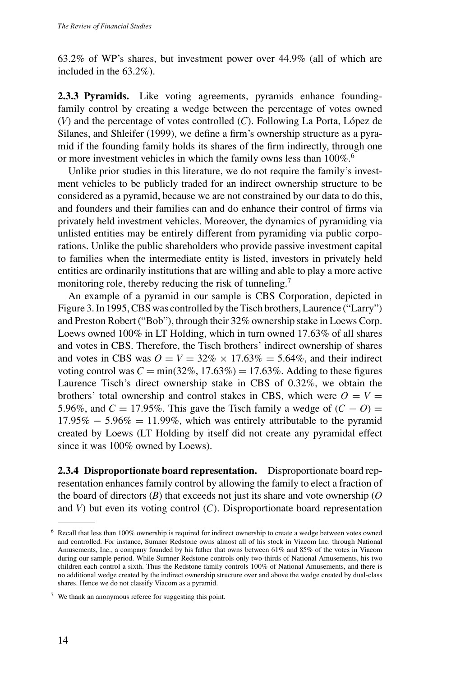63.2% of WP's shares, but investment power over 44.9% (all of which are included in the 63.2%).

**2.3.3 Pyramids.** Like voting agreements, pyramids enhance foundingfamily control by creating a wedge between the percentage of votes owned  $(V)$  and the percentage of votes controlled  $(C)$ . Following La Porta, López de Silanes, and Shleifer (1999), we define a firm's ownership structure as a pyramid if the founding family holds its shares of the firm indirectly, through one or more investment vehicles in which the family owns less than 100%.<sup>6</sup>

Unlike prior studies in this literature, we do not require the family's investment vehicles to be publicly traded for an indirect ownership structure to be considered as a pyramid, because we are not constrained by our data to do this, and founders and their families can and do enhance their control of firms via privately held investment vehicles. Moreover, the dynamics of pyramiding via unlisted entities may be entirely different from pyramiding via public corporations. Unlike the public shareholders who provide passive investment capital to families when the intermediate entity is listed, investors in privately held entities are ordinarily institutions that are willing and able to play a more active monitoring role, thereby reducing the risk of tunneling.<sup>7</sup>

An example of a pyramid in our sample is CBS Corporation, depicted in Figure 3. In 1995, CBS was controlled by the Tisch brothers, Laurence ("Larry") and Preston Robert ("Bob"), through their 32% ownership stake in Loews Corp. Loews owned 100% in LT Holding, which in turn owned 17.63% of all shares and votes in CBS. Therefore, the Tisch brothers' indirect ownership of shares and votes in CBS was  $O = V = 32\% \times 17.63\% = 5.64\%$ , and their indirect voting control was  $C = min(32\%, 17.63\%) = 17.63\%$ . Adding to these figures Laurence Tisch's direct ownership stake in CBS of 0.32%, we obtain the brothers' total ownership and control stakes in CBS, which were  $O = V =$ 5.96%, and  $C = 17.95\%$ . This gave the Tisch family a wedge of  $(C - O) =$  $17.95\% - 5.96\% = 11.99\%$ , which was entirely attributable to the pyramid created by Loews (LT Holding by itself did not create any pyramidal effect since it was 100% owned by Loews).

**2.3.4 Disproportionate board representation.** Disproportionate board representation enhances family control by allowing the family to elect a fraction of the board of directors (*B*) that exceeds not just its share and vote ownership (*O* and *V*) but even its voting control (*C*). Disproportionate board representation

<sup>6</sup> Recall that less than 100% ownership is required for indirect ownership to create a wedge between votes owned and controlled. For instance, Sumner Redstone owns almost all of his stock in Viacom Inc. through National Amusements, Inc., a company founded by his father that owns between 61% and 85% of the votes in Viacom during our sample period. While Sumner Redstone controls only two-thirds of National Amusements, his two children each control a sixth. Thus the Redstone family controls 100% of National Amusements, and there is no additional wedge created by the indirect ownership structure over and above the wedge created by dual-class shares. Hence we do not classify Viacom as a pyramid.

<sup>7</sup> We thank an anonymous referee for suggesting this point.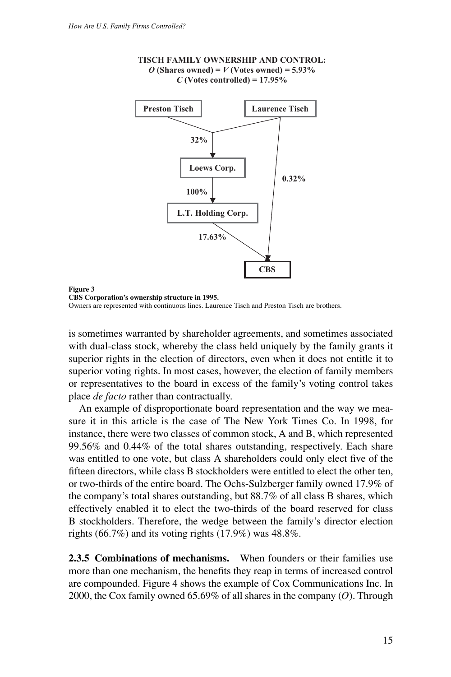

#### **TISCH FAMILY OWNERSHIP AND CONTROL:**  $O$  **(Shares owned)** =  $V$  **(Votes owned)** =  $5.93\%$  $C$  (Votes controlled) =  $17.95\%$

is sometimes warranted by shareholder agreements, and sometimes associated with dual-class stock, whereby the class held uniquely by the family grants it superior rights in the election of directors, even when it does not entitle it to superior voting rights. In most cases, however, the election of family members or representatives to the board in excess of the family's voting control takes place *de facto* rather than contractually.

An example of disproportionate board representation and the way we measure it in this article is the case of The New York Times Co. In 1998, for instance, there were two classes of common stock, A and B, which represented 99.56% and 0.44% of the total shares outstanding, respectively. Each share was entitled to one vote, but class A shareholders could only elect five of the fifteen directors, while class B stockholders were entitled to elect the other ten, or two-thirds of the entire board. The Ochs-Sulzberger family owned 17.9% of the company's total shares outstanding, but 88.7% of all class B shares, which effectively enabled it to elect the two-thirds of the board reserved for class B stockholders. Therefore, the wedge between the family's director election rights  $(66.7\%)$  and its voting rights  $(17.9\%)$  was  $48.8\%$ .

**2.3.5 Combinations of mechanisms.** When founders or their families use more than one mechanism, the benefits they reap in terms of increased control are compounded. Figure 4 shows the example of Cox Communications Inc. In 2000, the Cox family owned 65.69% of all shares in the company (*O*). Through

**Figure 3 CBS Corporation's ownership structure in 1995.** Owners are represented with continuous lines. Laurence Tisch and Preston Tisch are brothers.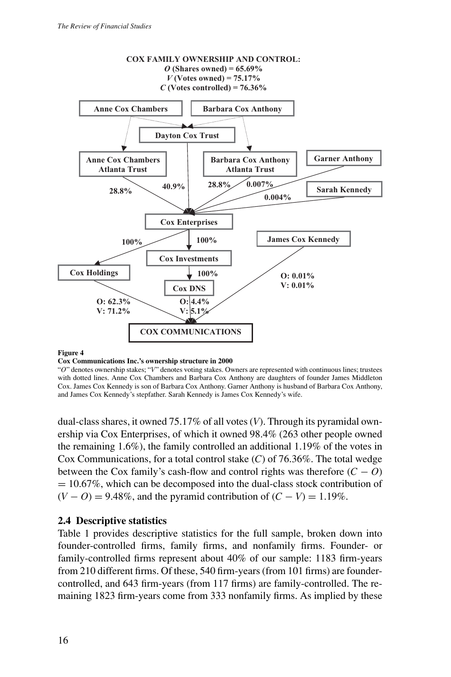

#### **Figure 4**

#### **Cox Communications Inc.'s ownership structure in 2000**

"*O*" denotes ownership stakes; "*V*" denotes voting stakes. Owners are represented with continuous lines; trustees with dotted lines. Anne Cox Chambers and Barbara Cox Anthony are daughters of founder James Middleton Cox. James Cox Kennedy is son of Barbara Cox Anthony. Garner Anthony is husband of Barbara Cox Anthony, and James Cox Kennedy's stepfather. Sarah Kennedy is James Cox Kennedy's wife.

dual-class shares, it owned 75.17% of all votes (*V*). Through its pyramidal ownership via Cox Enterprises, of which it owned 98.4% (263 other people owned the remaining 1.6%), the family controlled an additional 1.19% of the votes in Cox Communications, for a total control stake (*C*) of 76.36%. The total wedge between the Cox family's cash-flow and control rights was therefore  $(C - O)$  $= 10.67\%$ , which can be decomposed into the dual-class stock contribution of  $(V - O) = 9.48\%$ , and the pyramid contribution of  $(C - V) = 1.19\%$ .

#### **2.4 Descriptive statistics**

Table 1 provides descriptive statistics for the full sample, broken down into founder-controlled firms, family firms, and nonfamily firms. Founder- or family-controlled firms represent about 40% of our sample: 1183 firm-years from 210 different firms. Of these, 540 firm-years (from 101 firms) are foundercontrolled, and 643 firm-years (from 117 firms) are family-controlled. The remaining 1823 firm-years come from 333 nonfamily firms. As implied by these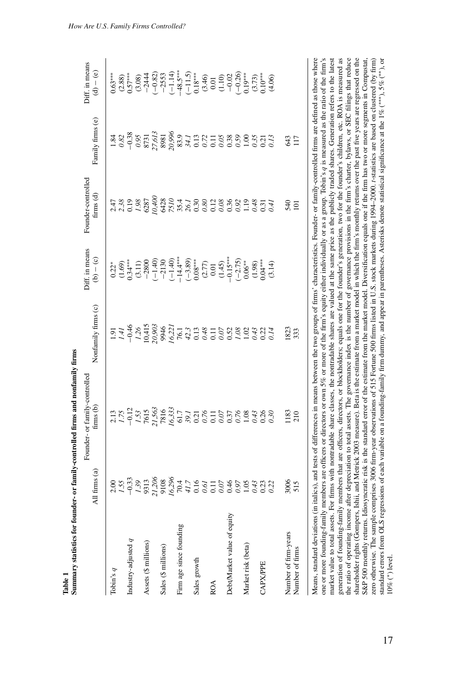| Table 1                     |                 | Summary statistics for founder- or family-controlled firms and nonfamily firms                                                                                                                                                                                                                                                                                                                                                                                                                                                                                                                                                                                                                                                                                                                                                                                                                                                                                                                                                                                                                                                                                                                                                                                                                                                                                                                                                                                                                                                                                                                                                                                                                                                                         |                                                                                                                                 |                                                                                                                                                                                                                                                                                                        |                       |                  |                                                                                                                                                                                                                                                                                                                                       |
|-----------------------------|-----------------|--------------------------------------------------------------------------------------------------------------------------------------------------------------------------------------------------------------------------------------------------------------------------------------------------------------------------------------------------------------------------------------------------------------------------------------------------------------------------------------------------------------------------------------------------------------------------------------------------------------------------------------------------------------------------------------------------------------------------------------------------------------------------------------------------------------------------------------------------------------------------------------------------------------------------------------------------------------------------------------------------------------------------------------------------------------------------------------------------------------------------------------------------------------------------------------------------------------------------------------------------------------------------------------------------------------------------------------------------------------------------------------------------------------------------------------------------------------------------------------------------------------------------------------------------------------------------------------------------------------------------------------------------------------------------------------------------------------------------------------------------------|---------------------------------------------------------------------------------------------------------------------------------|--------------------------------------------------------------------------------------------------------------------------------------------------------------------------------------------------------------------------------------------------------------------------------------------------------|-----------------------|------------------|---------------------------------------------------------------------------------------------------------------------------------------------------------------------------------------------------------------------------------------------------------------------------------------------------------------------------------------|
|                             |                 | Founder- or family-controlled                                                                                                                                                                                                                                                                                                                                                                                                                                                                                                                                                                                                                                                                                                                                                                                                                                                                                                                                                                                                                                                                                                                                                                                                                                                                                                                                                                                                                                                                                                                                                                                                                                                                                                                          |                                                                                                                                 | Diff. in means                                                                                                                                                                                                                                                                                         | Founder-controlled    |                  | Diff. in means                                                                                                                                                                                                                                                                                                                        |
|                             | All firms $(a)$ | $\lim_{b \to b}$                                                                                                                                                                                                                                                                                                                                                                                                                                                                                                                                                                                                                                                                                                                                                                                                                                                                                                                                                                                                                                                                                                                                                                                                                                                                                                                                                                                                                                                                                                                                                                                                                                                                                                                                       | Nonfamily firms (c)                                                                                                             | $(e) - (c)$                                                                                                                                                                                                                                                                                            | $\lim_{d}$ (d)        | Family firms (e) | $\Theta$ = (e)                                                                                                                                                                                                                                                                                                                        |
| Tobin's $q$                 |                 | $\begin{array}{c} 2.13 \\ 1.75 \\ -0.12 \\ 1.53 \\ 7615 \\ 7603 \\ 7816 \\ 7816 \\ 7816 \\ 10,333 \\ 61.7 \end{array}$                                                                                                                                                                                                                                                                                                                                                                                                                                                                                                                                                                                                                                                                                                                                                                                                                                                                                                                                                                                                                                                                                                                                                                                                                                                                                                                                                                                                                                                                                                                                                                                                                                 | 1.91                                                                                                                            |                                                                                                                                                                                                                                                                                                        | 2.47                  |                  | $0.63***$                                                                                                                                                                                                                                                                                                                             |
|                             |                 |                                                                                                                                                                                                                                                                                                                                                                                                                                                                                                                                                                                                                                                                                                                                                                                                                                                                                                                                                                                                                                                                                                                                                                                                                                                                                                                                                                                                                                                                                                                                                                                                                                                                                                                                                        |                                                                                                                                 |                                                                                                                                                                                                                                                                                                        |                       |                  |                                                                                                                                                                                                                                                                                                                                       |
| Industry-adjusted $q$       |                 |                                                                                                                                                                                                                                                                                                                                                                                                                                                                                                                                                                                                                                                                                                                                                                                                                                                                                                                                                                                                                                                                                                                                                                                                                                                                                                                                                                                                                                                                                                                                                                                                                                                                                                                                                        |                                                                                                                                 |                                                                                                                                                                                                                                                                                                        | 2.38<br>0.198<br>0287 |                  |                                                                                                                                                                                                                                                                                                                                       |
|                             |                 |                                                                                                                                                                                                                                                                                                                                                                                                                                                                                                                                                                                                                                                                                                                                                                                                                                                                                                                                                                                                                                                                                                                                                                                                                                                                                                                                                                                                                                                                                                                                                                                                                                                                                                                                                        |                                                                                                                                 |                                                                                                                                                                                                                                                                                                        |                       |                  |                                                                                                                                                                                                                                                                                                                                       |
| Assets (\$ millions)        |                 |                                                                                                                                                                                                                                                                                                                                                                                                                                                                                                                                                                                                                                                                                                                                                                                                                                                                                                                                                                                                                                                                                                                                                                                                                                                                                                                                                                                                                                                                                                                                                                                                                                                                                                                                                        | $\begin{array}{c}\n 1.41 \\  -0.46 \\  \hline\n 1.26 \\  1.415 \\  \hline\n 1.415 \\  0.415 \\  \hline\n 0.030 \\  \end{array}$ |                                                                                                                                                                                                                                                                                                        |                       |                  |                                                                                                                                                                                                                                                                                                                                       |
|                             |                 |                                                                                                                                                                                                                                                                                                                                                                                                                                                                                                                                                                                                                                                                                                                                                                                                                                                                                                                                                                                                                                                                                                                                                                                                                                                                                                                                                                                                                                                                                                                                                                                                                                                                                                                                                        |                                                                                                                                 |                                                                                                                                                                                                                                                                                                        | 0,400                 |                  |                                                                                                                                                                                                                                                                                                                                       |
| Sales (\$ millions)         |                 |                                                                                                                                                                                                                                                                                                                                                                                                                                                                                                                                                                                                                                                                                                                                                                                                                                                                                                                                                                                                                                                                                                                                                                                                                                                                                                                                                                                                                                                                                                                                                                                                                                                                                                                                                        |                                                                                                                                 |                                                                                                                                                                                                                                                                                                        | 6428                  |                  |                                                                                                                                                                                                                                                                                                                                       |
|                             |                 |                                                                                                                                                                                                                                                                                                                                                                                                                                                                                                                                                                                                                                                                                                                                                                                                                                                                                                                                                                                                                                                                                                                                                                                                                                                                                                                                                                                                                                                                                                                                                                                                                                                                                                                                                        |                                                                                                                                 |                                                                                                                                                                                                                                                                                                        |                       |                  |                                                                                                                                                                                                                                                                                                                                       |
| Firm age since founding     |                 |                                                                                                                                                                                                                                                                                                                                                                                                                                                                                                                                                                                                                                                                                                                                                                                                                                                                                                                                                                                                                                                                                                                                                                                                                                                                                                                                                                                                                                                                                                                                                                                                                                                                                                                                                        |                                                                                                                                 |                                                                                                                                                                                                                                                                                                        |                       |                  |                                                                                                                                                                                                                                                                                                                                       |
|                             |                 |                                                                                                                                                                                                                                                                                                                                                                                                                                                                                                                                                                                                                                                                                                                                                                                                                                                                                                                                                                                                                                                                                                                                                                                                                                                                                                                                                                                                                                                                                                                                                                                                                                                                                                                                                        |                                                                                                                                 |                                                                                                                                                                                                                                                                                                        |                       |                  |                                                                                                                                                                                                                                                                                                                                       |
| Sales growth                | $0.16$<br>0.61  |                                                                                                                                                                                                                                                                                                                                                                                                                                                                                                                                                                                                                                                                                                                                                                                                                                                                                                                                                                                                                                                                                                                                                                                                                                                                                                                                                                                                                                                                                                                                                                                                                                                                                                                                                        |                                                                                                                                 |                                                                                                                                                                                                                                                                                                        |                       |                  |                                                                                                                                                                                                                                                                                                                                       |
|                             |                 |                                                                                                                                                                                                                                                                                                                                                                                                                                                                                                                                                                                                                                                                                                                                                                                                                                                                                                                                                                                                                                                                                                                                                                                                                                                                                                                                                                                                                                                                                                                                                                                                                                                                                                                                                        |                                                                                                                                 |                                                                                                                                                                                                                                                                                                        |                       |                  |                                                                                                                                                                                                                                                                                                                                       |
| ROA                         | 0.11            | 32222222222222222                                                                                                                                                                                                                                                                                                                                                                                                                                                                                                                                                                                                                                                                                                                                                                                                                                                                                                                                                                                                                                                                                                                                                                                                                                                                                                                                                                                                                                                                                                                                                                                                                                                                                                                                      |                                                                                                                                 |                                                                                                                                                                                                                                                                                                        |                       |                  |                                                                                                                                                                                                                                                                                                                                       |
|                             | 0.07            |                                                                                                                                                                                                                                                                                                                                                                                                                                                                                                                                                                                                                                                                                                                                                                                                                                                                                                                                                                                                                                                                                                                                                                                                                                                                                                                                                                                                                                                                                                                                                                                                                                                                                                                                                        |                                                                                                                                 |                                                                                                                                                                                                                                                                                                        |                       |                  |                                                                                                                                                                                                                                                                                                                                       |
| Debt/Market value of equity | 0.46            |                                                                                                                                                                                                                                                                                                                                                                                                                                                                                                                                                                                                                                                                                                                                                                                                                                                                                                                                                                                                                                                                                                                                                                                                                                                                                                                                                                                                                                                                                                                                                                                                                                                                                                                                                        |                                                                                                                                 |                                                                                                                                                                                                                                                                                                        |                       |                  |                                                                                                                                                                                                                                                                                                                                       |
|                             | 0.97            |                                                                                                                                                                                                                                                                                                                                                                                                                                                                                                                                                                                                                                                                                                                                                                                                                                                                                                                                                                                                                                                                                                                                                                                                                                                                                                                                                                                                                                                                                                                                                                                                                                                                                                                                                        |                                                                                                                                 |                                                                                                                                                                                                                                                                                                        |                       |                  |                                                                                                                                                                                                                                                                                                                                       |
| Market risk (beta)          | 1.05            |                                                                                                                                                                                                                                                                                                                                                                                                                                                                                                                                                                                                                                                                                                                                                                                                                                                                                                                                                                                                                                                                                                                                                                                                                                                                                                                                                                                                                                                                                                                                                                                                                                                                                                                                                        |                                                                                                                                 |                                                                                                                                                                                                                                                                                                        |                       |                  |                                                                                                                                                                                                                                                                                                                                       |
|                             | 0.43            |                                                                                                                                                                                                                                                                                                                                                                                                                                                                                                                                                                                                                                                                                                                                                                                                                                                                                                                                                                                                                                                                                                                                                                                                                                                                                                                                                                                                                                                                                                                                                                                                                                                                                                                                                        |                                                                                                                                 |                                                                                                                                                                                                                                                                                                        |                       |                  |                                                                                                                                                                                                                                                                                                                                       |
| CAPX/PPE                    | 0.23            |                                                                                                                                                                                                                                                                                                                                                                                                                                                                                                                                                                                                                                                                                                                                                                                                                                                                                                                                                                                                                                                                                                                                                                                                                                                                                                                                                                                                                                                                                                                                                                                                                                                                                                                                                        |                                                                                                                                 |                                                                                                                                                                                                                                                                                                        |                       |                  |                                                                                                                                                                                                                                                                                                                                       |
|                             |                 |                                                                                                                                                                                                                                                                                                                                                                                                                                                                                                                                                                                                                                                                                                                                                                                                                                                                                                                                                                                                                                                                                                                                                                                                                                                                                                                                                                                                                                                                                                                                                                                                                                                                                                                                                        |                                                                                                                                 | $\begin{array}{l} 0.69\\[-4pt] 0.34\\[-4pt] 0.34\\[-4pt] 0.34\\[-4pt] 0.34\\[-4pt] 0.34\\[-4pt] 0.34\\[-4pt] 0.34\\[-4pt] 0.34\\[-4pt] 0.34\\[-4pt] 0.34\\[-4pt] 0.34\\[-4pt] 0.34\\[-4pt] 0.34\\[-4pt] 0.34\\[-4pt] 0.34\\[-4pt] 0.34\\[-4pt] 0.34\\[-4pt] 0.34\\[-4pt] 0.34\\[-4pt] 0.34\\[-4pt] 0.$ |                       |                  | $\begin{array}{l} 2.83 \\ 0.57^{**} \\ 0.67^{**} \\ 0.67^{**} \\ 0.67^{**} \\ 0.67^{**} \\ 0.67^{**} \\ 0.67^{**} \\ 0.67^{**} \\ 0.67^{**} \\ 0.67^{**} \\ 0.67^{**} \\ 0.67^{**} \\ 0.67^{**} \\ 0.67^{**} \\ 0.67^{**} \\ 0.67^{**} \\ 0.67^{**} \\ 0.67^{**} \\ 0.67^{**} \\ 0.67^{**} \\ 0.67^{**} \\ 0.67^{**} \\ 0.67^{**} \\$ |
| Number of firm-years        | 3006            | 1183                                                                                                                                                                                                                                                                                                                                                                                                                                                                                                                                                                                                                                                                                                                                                                                                                                                                                                                                                                                                                                                                                                                                                                                                                                                                                                                                                                                                                                                                                                                                                                                                                                                                                                                                                   | 1823                                                                                                                            |                                                                                                                                                                                                                                                                                                        | 540                   | 643              |                                                                                                                                                                                                                                                                                                                                       |
| Number of firms             | 515             | 210                                                                                                                                                                                                                                                                                                                                                                                                                                                                                                                                                                                                                                                                                                                                                                                                                                                                                                                                                                                                                                                                                                                                                                                                                                                                                                                                                                                                                                                                                                                                                                                                                                                                                                                                                    | 333                                                                                                                             |                                                                                                                                                                                                                                                                                                        | $\overline{a}$        | 117              |                                                                                                                                                                                                                                                                                                                                       |
| $10\%$ (*) level            |                 | one or more founding-family members are officers or directors or own 5% or more of the firm's equity either individually or as a group. Tobin's q is measured as the ratio of the firm's<br>generation of founding-family members that are officers, directors, or blockholders; equals one for the founder's generation, two for the founder's children, etc. ROA is measured as<br>Means, standard deviations (in italics), and rests of differences in means between the two groups of firms' characteristics. Founder- or family-controlled firms are defined as those where<br>the ratio of operating income after depreciation to total assets. The governance index is the number of governance provisions in the firm's charter, bylaws, or SEC filings that reduce<br>shareholder rights (Gompers, Ishii, and Metrick 2003 measure). Beta is the estimate from a market model in which the firm's monthly returns over the past five years are regressed on the<br>market value to total assets. For firms with nontradable share classes, the nontradable shares are valued at the same price as the publicly traded shares. Generation refers to the latest<br>S&P 500 monthly returns. Idiosyncratic risk is the standard error of the estimate from the market model. Diversification equals one if the firm has two or more segments in Compustat,<br>zero otherwise. The sample comprises 3006 firm-year observations of 515 Fortune 500 firms listed in U.S. stock markets during 1994-2000. A statistics are based on clustered (by firm)<br>standard errors from OLS regressions of each variable on a founding-family firm dummy, and appear in parentheses. Asterisks denote statistical significance at the 1% (***), 5% (**), or |                                                                                                                                 |                                                                                                                                                                                                                                                                                                        |                       |                  |                                                                                                                                                                                                                                                                                                                                       |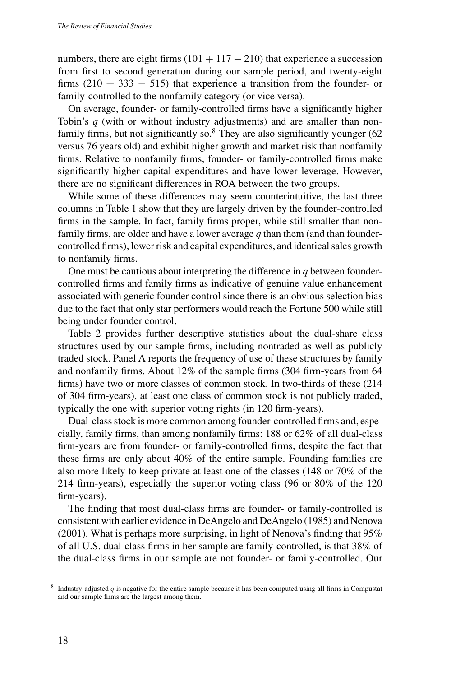numbers, there are eight firms  $(101 + 117 - 210)$  that experience a succession from first to second generation during our sample period, and twenty-eight firms  $(210 + 333 - 515)$  that experience a transition from the founder- or family-controlled to the nonfamily category (or vice versa).

On average, founder- or family-controlled firms have a significantly higher Tobin's *q* (with or without industry adjustments) and are smaller than nonfamily firms, but not significantly so. $8$  They are also significantly younger (62) versus 76 years old) and exhibit higher growth and market risk than nonfamily firms. Relative to nonfamily firms, founder- or family-controlled firms make significantly higher capital expenditures and have lower leverage. However, there are no significant differences in ROA between the two groups.

While some of these differences may seem counterintuitive, the last three columns in Table 1 show that they are largely driven by the founder-controlled firms in the sample. In fact, family firms proper, while still smaller than nonfamily firms, are older and have a lower average *q* than them (and than foundercontrolled firms), lower risk and capital expenditures, and identical sales growth to nonfamily firms.

One must be cautious about interpreting the difference in *q* between foundercontrolled firms and family firms as indicative of genuine value enhancement associated with generic founder control since there is an obvious selection bias due to the fact that only star performers would reach the Fortune 500 while still being under founder control.

Table 2 provides further descriptive statistics about the dual-share class structures used by our sample firms, including nontraded as well as publicly traded stock. Panel A reports the frequency of use of these structures by family and nonfamily firms. About 12% of the sample firms (304 firm-years from 64 firms) have two or more classes of common stock. In two-thirds of these (214 of 304 firm-years), at least one class of common stock is not publicly traded, typically the one with superior voting rights (in 120 firm-years).

Dual-class stock is more common among founder-controlled firms and, especially, family firms, than among nonfamily firms: 188 or 62% of all dual-class firm-years are from founder- or family-controlled firms, despite the fact that these firms are only about 40% of the entire sample. Founding families are also more likely to keep private at least one of the classes (148 or 70% of the 214 firm-years), especially the superior voting class (96 or 80% of the 120 firm-years).

The finding that most dual-class firms are founder- or family-controlled is consistent with earlier evidence in DeAngelo and DeAngelo (1985) and Nenova (2001). What is perhaps more surprising, in light of Nenova's finding that 95% of all U.S. dual-class firms in her sample are family-controlled, is that 38% of the dual-class firms in our sample are not founder- or family-controlled. Our

 $8$  Industry-adjusted  $q$  is negative for the entire sample because it has been computed using all firms in Compustat and our sample firms are the largest among them.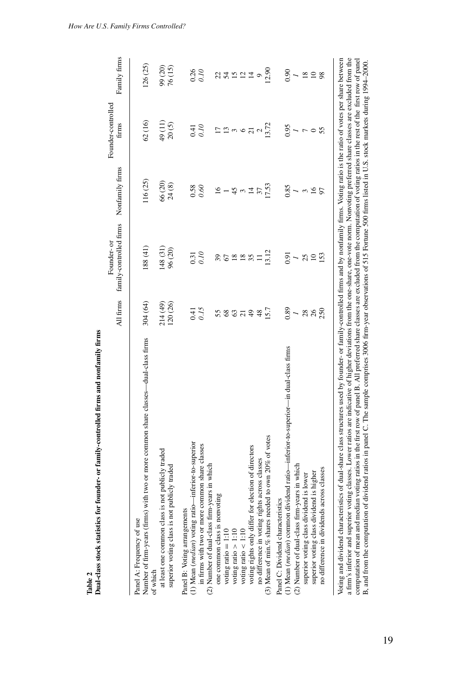| Dual-class stock statistics for founder- or family-controlled firms and nonfamily firms                                                                                                                                                                                                                                                                                                                                                                                                                                                                                                                                                                                                                                                                                            | All firms            | family-controlled firms Nonfamily firms<br>Founder-or |                   | Founder-controlled<br>firms                                                         | Family firms      |
|------------------------------------------------------------------------------------------------------------------------------------------------------------------------------------------------------------------------------------------------------------------------------------------------------------------------------------------------------------------------------------------------------------------------------------------------------------------------------------------------------------------------------------------------------------------------------------------------------------------------------------------------------------------------------------------------------------------------------------------------------------------------------------|----------------------|-------------------------------------------------------|-------------------|-------------------------------------------------------------------------------------|-------------------|
| Number of firm-years (firms) with two or more common share classes—dual-class firms<br>Panel A: Frequency of use                                                                                                                                                                                                                                                                                                                                                                                                                                                                                                                                                                                                                                                                   | 304 (64)             | $(14)$ 88                                             | 116(25)           | 62(16)                                                                              | 126 (25)          |
| at least one common class is not publicly traded<br>superior voting class is not publicly traded<br>of which                                                                                                                                                                                                                                                                                                                                                                                                                                                                                                                                                                                                                                                                       | 214 (49)<br>120 (26) | (48(31)<br>96 (20)                                    | 66 (20)<br>24(8)  | 49(11)<br>20(5)                                                                     | 76(15)<br>99 (20) |
| Panel B: Voting arrangements                                                                                                                                                                                                                                                                                                                                                                                                                                                                                                                                                                                                                                                                                                                                                       |                      |                                                       |                   |                                                                                     |                   |
| (1) Mean (median) voting ratio-inferior-to-superior<br>in firms with two or more common share classes                                                                                                                                                                                                                                                                                                                                                                                                                                                                                                                                                                                                                                                                              | 0.15<br>0.41         | 0.10<br>0.31                                          | 0.58<br>0.60      | 0.10<br>0.41                                                                        | 0.26<br>0.10      |
| Number of dual-class firm-years in which<br>$\widehat{c}$                                                                                                                                                                                                                                                                                                                                                                                                                                                                                                                                                                                                                                                                                                                          |                      |                                                       |                   |                                                                                     |                   |
| one common class is nonvoting<br>voting ratio = $1:10$                                                                                                                                                                                                                                                                                                                                                                                                                                                                                                                                                                                                                                                                                                                             | 58853                | $\frac{39}{67}$                                       | $\frac{6}{1}$     | $\Gamma \cap \mathfrak{m} \circ \mathfrak{m} \circ \mathfrak{m} \circ \mathfrak{m}$ | 2359270           |
| voting ratio $> 1:10$                                                                                                                                                                                                                                                                                                                                                                                                                                                                                                                                                                                                                                                                                                                                                              |                      | $18\,$                                                |                   |                                                                                     |                   |
| voting ratio $< 1:10$                                                                                                                                                                                                                                                                                                                                                                                                                                                                                                                                                                                                                                                                                                                                                              |                      |                                                       |                   |                                                                                     |                   |
| voting rights only differ for election of directors                                                                                                                                                                                                                                                                                                                                                                                                                                                                                                                                                                                                                                                                                                                                |                      | $\frac{18}{35}$                                       | $42 \omega \pm 2$ |                                                                                     |                   |
| no difference in voting rights across classes                                                                                                                                                                                                                                                                                                                                                                                                                                                                                                                                                                                                                                                                                                                                      | 48                   | $\equiv$                                              |                   |                                                                                     |                   |
| (3) Mean of min.% shares needed to own $20\%$ of votes                                                                                                                                                                                                                                                                                                                                                                                                                                                                                                                                                                                                                                                                                                                             | 15.7                 | 13.12                                                 | 17.53             | 13.72                                                                               | 12.90             |
| (1) Mean (median) common dividend ratio-inferior-to-superior-in dual-class firms<br>Panel C: Dividend characteristics                                                                                                                                                                                                                                                                                                                                                                                                                                                                                                                                                                                                                                                              | 0.89                 | 0.91                                                  | 0.85              | 0.95                                                                                | 0.90              |
| (2) Number of dual-class firm-years in which                                                                                                                                                                                                                                                                                                                                                                                                                                                                                                                                                                                                                                                                                                                                       |                      |                                                       |                   | $\overline{\phantom{0}}$                                                            |                   |
| superior voting class dividend is lower                                                                                                                                                                                                                                                                                                                                                                                                                                                                                                                                                                                                                                                                                                                                            | $28$                 | 25                                                    | 3                 | $\overline{ }$                                                                      | $\overline{18}$   |
| superior voting class dividend is higher                                                                                                                                                                                                                                                                                                                                                                                                                                                                                                                                                                                                                                                                                                                                           | 26                   | $\overline{10}$                                       | $\overline{16}$   | $\circ$                                                                             | $\overline{10}$   |
| no difference in dividends across classes                                                                                                                                                                                                                                                                                                                                                                                                                                                                                                                                                                                                                                                                                                                                          | 250                  | 153                                                   | 57                | 55                                                                                  | 98                |
| a firm's inferior and superior voting classes. Lower ratios are indicative of higher deviations from the one-share, one-vote norm. Nonvoting preferred share classes are excluded from the<br>Voting and dividend characteristics of dual-share class structures used by founder- or family-controlled firms and by nonfamily firms. Voting ratio is the ratio of votes per share between<br>computation of mean and median voting ratios in the first row of panel B. All preferred share classes are excluded from the computation of voting ratios in the rest of the first row of panel<br>B, and from the computation of dividend ratios in panel C. The sample comprises 3006 firm-year observations of 515 Fortune 500 firms listed in U.S. stock markets during 1994-2000. |                      |                                                       |                   |                                                                                     |                   |

*How Are U.S. Family Firms Controlled?*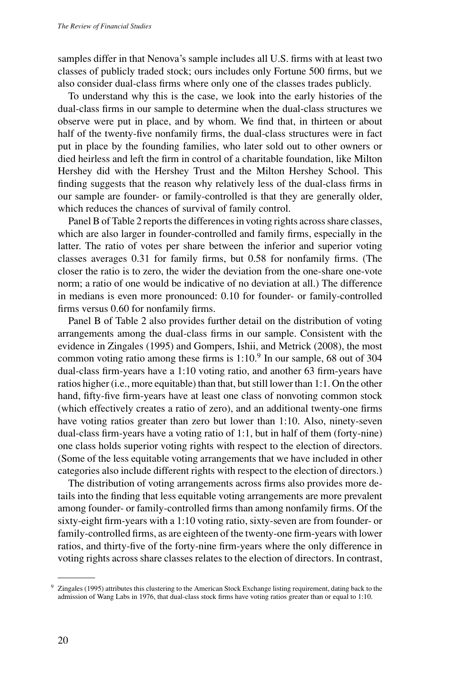samples differ in that Nenova's sample includes all U.S. firms with at least two classes of publicly traded stock; ours includes only Fortune 500 firms, but we also consider dual-class firms where only one of the classes trades publicly.

To understand why this is the case, we look into the early histories of the dual-class firms in our sample to determine when the dual-class structures we observe were put in place, and by whom. We find that, in thirteen or about half of the twenty-five nonfamily firms, the dual-class structures were in fact put in place by the founding families, who later sold out to other owners or died heirless and left the firm in control of a charitable foundation, like Milton Hershey did with the Hershey Trust and the Milton Hershey School. This finding suggests that the reason why relatively less of the dual-class firms in our sample are founder- or family-controlled is that they are generally older, which reduces the chances of survival of family control.

Panel B of Table 2 reports the differences in voting rights across share classes, which are also larger in founder-controlled and family firms, especially in the latter. The ratio of votes per share between the inferior and superior voting classes averages 0.31 for family firms, but 0.58 for nonfamily firms. (The closer the ratio is to zero, the wider the deviation from the one-share one-vote norm; a ratio of one would be indicative of no deviation at all.) The difference in medians is even more pronounced: 0.10 for founder- or family-controlled firms versus 0.60 for nonfamily firms.

Panel B of Table 2 also provides further detail on the distribution of voting arrangements among the dual-class firms in our sample. Consistent with the evidence in Zingales (1995) and Gompers, Ishii, and Metrick (2008), the most common voting ratio among these firms is  $1:10<sup>9</sup>$  In our sample, 68 out of 304 dual-class firm-years have a 1:10 voting ratio, and another 63 firm-years have ratios higher (i.e., more equitable) than that, but still lower than 1:1. On the other hand, fifty-five firm-years have at least one class of nonvoting common stock (which effectively creates a ratio of zero), and an additional twenty-one firms have voting ratios greater than zero but lower than 1:10. Also, ninety-seven dual-class firm-years have a voting ratio of 1:1, but in half of them (forty-nine) one class holds superior voting rights with respect to the election of directors. (Some of the less equitable voting arrangements that we have included in other categories also include different rights with respect to the election of directors.)

The distribution of voting arrangements across firms also provides more details into the finding that less equitable voting arrangements are more prevalent among founder- or family-controlled firms than among nonfamily firms. Of the sixty-eight firm-years with a 1:10 voting ratio, sixty-seven are from founder- or family-controlled firms, as are eighteen of the twenty-one firm-years with lower ratios, and thirty-five of the forty-nine firm-years where the only difference in voting rights across share classes relates to the election of directors. In contrast,

<sup>&</sup>lt;sup>9</sup> Zingales (1995) attributes this clustering to the American Stock Exchange listing requirement, dating back to the admission of Wang Labs in 1976, that dual-class stock firms have voting ratios greater than or equal to 1:10.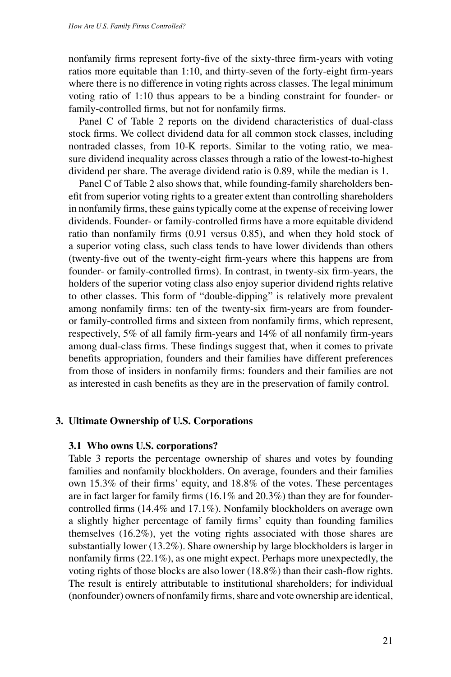nonfamily firms represent forty-five of the sixty-three firm-years with voting ratios more equitable than 1:10, and thirty-seven of the forty-eight firm-years where there is no difference in voting rights across classes. The legal minimum voting ratio of 1:10 thus appears to be a binding constraint for founder- or family-controlled firms, but not for nonfamily firms.

Panel C of Table 2 reports on the dividend characteristics of dual-class stock firms. We collect dividend data for all common stock classes, including nontraded classes, from 10-K reports. Similar to the voting ratio, we measure dividend inequality across classes through a ratio of the lowest-to-highest dividend per share. The average dividend ratio is 0.89, while the median is 1.

Panel C of Table 2 also shows that, while founding-family shareholders benefit from superior voting rights to a greater extent than controlling shareholders in nonfamily firms, these gains typically come at the expense of receiving lower dividends. Founder- or family-controlled firms have a more equitable dividend ratio than nonfamily firms (0.91 versus 0.85), and when they hold stock of a superior voting class, such class tends to have lower dividends than others (twenty-five out of the twenty-eight firm-years where this happens are from founder- or family-controlled firms). In contrast, in twenty-six firm-years, the holders of the superior voting class also enjoy superior dividend rights relative to other classes. This form of "double-dipping" is relatively more prevalent among nonfamily firms: ten of the twenty-six firm-years are from founderor family-controlled firms and sixteen from nonfamily firms, which represent, respectively, 5% of all family firm-years and 14% of all nonfamily firm-years among dual-class firms. These findings suggest that, when it comes to private benefits appropriation, founders and their families have different preferences from those of insiders in nonfamily firms: founders and their families are not as interested in cash benefits as they are in the preservation of family control.

## **3. Ultimate Ownership of U.S. Corporations**

#### **3.1 Who owns U.S. corporations?**

Table 3 reports the percentage ownership of shares and votes by founding families and nonfamily blockholders. On average, founders and their families own 15.3% of their firms' equity, and 18.8% of the votes. These percentages are in fact larger for family firms (16.1% and 20.3%) than they are for foundercontrolled firms (14.4% and 17.1%). Nonfamily blockholders on average own a slightly higher percentage of family firms' equity than founding families themselves (16.2%), yet the voting rights associated with those shares are substantially lower (13.2%). Share ownership by large blockholders is larger in nonfamily firms (22.1%), as one might expect. Perhaps more unexpectedly, the voting rights of those blocks are also lower (18.8%) than their cash-flow rights. The result is entirely attributable to institutional shareholders; for individual (nonfounder) owners of nonfamily firms, share and vote ownership are identical,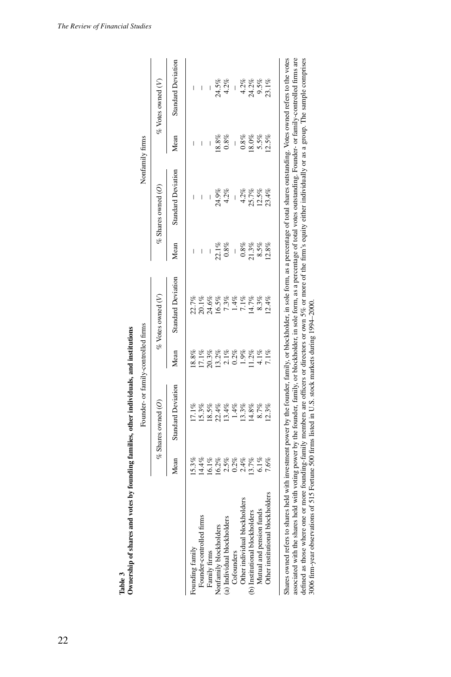|                                                                                                                                                                                                                                                                                                                                                                                                                                                                                                                                                                                                                                                                                         |                | Founder- or family-controlled firms |          |                           |                          |                           | Nonfamily firms          |                           |
|-----------------------------------------------------------------------------------------------------------------------------------------------------------------------------------------------------------------------------------------------------------------------------------------------------------------------------------------------------------------------------------------------------------------------------------------------------------------------------------------------------------------------------------------------------------------------------------------------------------------------------------------------------------------------------------------|----------------|-------------------------------------|----------|---------------------------|--------------------------|---------------------------|--------------------------|---------------------------|
|                                                                                                                                                                                                                                                                                                                                                                                                                                                                                                                                                                                                                                                                                         |                | $%$ Shares owned $(O)$              |          | % Votes owned $(V)$       |                          | $%$ Shares owned $(O)$    |                          | % Votes owned (V)         |
|                                                                                                                                                                                                                                                                                                                                                                                                                                                                                                                                                                                                                                                                                         | Mean           | <b>Standard Deviation</b>           | Mean     | <b>Standard Deviation</b> | Mean                     | <b>Standard Deviation</b> | Mean                     | <b>Standard Deviation</b> |
| Founding family                                                                                                                                                                                                                                                                                                                                                                                                                                                                                                                                                                                                                                                                         | 15.3%          |                                     | 18.8%    | 22.7%                     |                          |                           |                          |                           |
| Founder-controlled firms                                                                                                                                                                                                                                                                                                                                                                                                                                                                                                                                                                                                                                                                | 14.4%          | 15.3%                               | $17.1\%$ | 20.1%                     |                          |                           |                          | $\overline{\phantom{a}}$  |
| Family firms                                                                                                                                                                                                                                                                                                                                                                                                                                                                                                                                                                                                                                                                            | $6.1\%$        | 18.5%                               | 20.3%    | 24.6%                     | I                        |                           |                          |                           |
| Nonfamily blockholders                                                                                                                                                                                                                                                                                                                                                                                                                                                                                                                                                                                                                                                                  | 6.2%           | 22.4%                               | 13.2%    | 16.5%                     | $22.1\%$                 | 24.9%                     | 8.8%                     | 24.5%                     |
| (a) Individual blockholders                                                                                                                                                                                                                                                                                                                                                                                                                                                                                                                                                                                                                                                             | 2.5%           | 13.4%                               | $2.1\%$  | 7.3%                      | $0.8\%$                  | 4.2%                      | $0.8\%$                  | 4.2%                      |
| Cofounders                                                                                                                                                                                                                                                                                                                                                                                                                                                                                                                                                                                                                                                                              |                | 1.4%                                | $0.2\%$  | 1.4%                      | $\overline{\phantom{a}}$ | $\overline{\phantom{a}}$  | $\overline{\phantom{a}}$ | $\overline{\phantom{a}}$  |
| Other individual blockholders                                                                                                                                                                                                                                                                                                                                                                                                                                                                                                                                                                                                                                                           | $0.2%$<br>2.4% | 13.3%                               | 1.9%     | 7.1%                      | $0.8\%$                  | 4.2%                      | $0.8\%$                  | $4.2\%$                   |
| (b) Institutional blockholders                                                                                                                                                                                                                                                                                                                                                                                                                                                                                                                                                                                                                                                          | 3.7%           | $14.8\%$                            | 1.2%     | 14.7%                     | 21.3%                    | 25.7%                     | 18.0%                    |                           |
| Mutual and pension funds                                                                                                                                                                                                                                                                                                                                                                                                                                                                                                                                                                                                                                                                | 6.1%           | 8.7%                                | $4.1\%$  | 8.3%                      | 8.5%                     | 12.5%                     | 5.5%                     | 24.2%<br>9.5%             |
| Other institutional blockholders                                                                                                                                                                                                                                                                                                                                                                                                                                                                                                                                                                                                                                                        | 7.6%           | 12.3%                               | 7.1%     | 12.4%                     | 12.8%                    | 23.4%                     | 12.5%                    | 23.1%                     |
| Shares owned refers to shares held with investment power by the founder, family, or blockholder, in sole form, as a percentage of total shares outstanding. Votes owned refers to the votes<br>associated with the shares held with voting power by the founder, family, or blookholder, in sole form, as a percentage of total votes outstanding. Founder- or family-controlled firms are<br>defined as those where one or more founding-family members are officers or directors or own 5% or more of the firm's equity either individually or as a group. The sample comprises<br>3006 firm-year observations of 515 Fortune 500 firms listed in U.S. stock markets during 1994–2000 |                |                                     |          |                           |                          |                           |                          |                           |

| l<br>ļ<br>i<br>$\overline{a}$<br>i<br>i |  |
|-----------------------------------------|--|
| į                                       |  |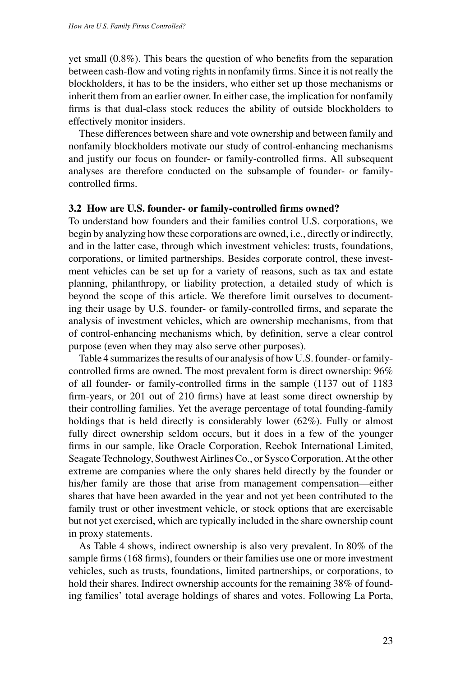yet small (0.8%). This bears the question of who benefits from the separation between cash-flow and voting rights in nonfamily firms. Since it is not really the blockholders, it has to be the insiders, who either set up those mechanisms or inherit them from an earlier owner. In either case, the implication for nonfamily firms is that dual-class stock reduces the ability of outside blockholders to effectively monitor insiders.

These differences between share and vote ownership and between family and nonfamily blockholders motivate our study of control-enhancing mechanisms and justify our focus on founder- or family-controlled firms. All subsequent analyses are therefore conducted on the subsample of founder- or familycontrolled firms.

## **3.2 How are U.S. founder- or family-controlled firms owned?**

To understand how founders and their families control U.S. corporations, we begin by analyzing how these corporations are owned, i.e., directly or indirectly, and in the latter case, through which investment vehicles: trusts, foundations, corporations, or limited partnerships. Besides corporate control, these investment vehicles can be set up for a variety of reasons, such as tax and estate planning, philanthropy, or liability protection, a detailed study of which is beyond the scope of this article. We therefore limit ourselves to documenting their usage by U.S. founder- or family-controlled firms, and separate the analysis of investment vehicles, which are ownership mechanisms, from that of control-enhancing mechanisms which, by definition, serve a clear control purpose (even when they may also serve other purposes).

Table 4 summarizes the results of our analysis of how U.S. founder- or familycontrolled firms are owned. The most prevalent form is direct ownership: 96% of all founder- or family-controlled firms in the sample (1137 out of 1183 firm-years, or 201 out of 210 firms) have at least some direct ownership by their controlling families. Yet the average percentage of total founding-family holdings that is held directly is considerably lower (62%). Fully or almost fully direct ownership seldom occurs, but it does in a few of the younger firms in our sample, like Oracle Corporation, Reebok International Limited, Seagate Technology, Southwest Airlines Co., or Sysco Corporation. At the other extreme are companies where the only shares held directly by the founder or his/her family are those that arise from management compensation—either shares that have been awarded in the year and not yet been contributed to the family trust or other investment vehicle, or stock options that are exercisable but not yet exercised, which are typically included in the share ownership count in proxy statements.

As Table 4 shows, indirect ownership is also very prevalent. In 80% of the sample firms (168 firms), founders or their families use one or more investment vehicles, such as trusts, foundations, limited partnerships, or corporations, to hold their shares. Indirect ownership accounts for the remaining 38% of founding families' total average holdings of shares and votes. Following La Porta,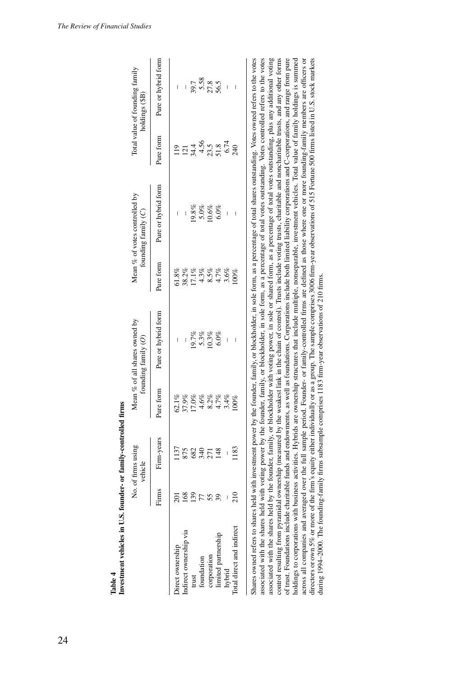|                                                                                                                                                                                                                                                                                                                                                                                                                                                                                                                                                                                                                                                                                                                                                                                                                                                                                                                                                                                                                                                                                                                                                                                                                                                                                                                                                                                                                                                                            |       | No. of firms using<br>vehicle |           | Mean % of all shares owned by<br>founding family $(O)$ |           | Mean % of votes controlled by<br>founding $f$ amily $(C)$                                                                                                                              |                  | Total value of founding family<br>holdings (SB) |
|----------------------------------------------------------------------------------------------------------------------------------------------------------------------------------------------------------------------------------------------------------------------------------------------------------------------------------------------------------------------------------------------------------------------------------------------------------------------------------------------------------------------------------------------------------------------------------------------------------------------------------------------------------------------------------------------------------------------------------------------------------------------------------------------------------------------------------------------------------------------------------------------------------------------------------------------------------------------------------------------------------------------------------------------------------------------------------------------------------------------------------------------------------------------------------------------------------------------------------------------------------------------------------------------------------------------------------------------------------------------------------------------------------------------------------------------------------------------------|-------|-------------------------------|-----------|--------------------------------------------------------|-----------|----------------------------------------------------------------------------------------------------------------------------------------------------------------------------------------|------------------|-------------------------------------------------|
|                                                                                                                                                                                                                                                                                                                                                                                                                                                                                                                                                                                                                                                                                                                                                                                                                                                                                                                                                                                                                                                                                                                                                                                                                                                                                                                                                                                                                                                                            | Firms | Firm-years                    | Pure form | Pure or hybrid form                                    | Pure form | Pure or hybrid form                                                                                                                                                                    | Pure form        | Pure or hybrid form                             |
| Direct ownership                                                                                                                                                                                                                                                                                                                                                                                                                                                                                                                                                                                                                                                                                                                                                                                                                                                                                                                                                                                                                                                                                                                                                                                                                                                                                                                                                                                                                                                           | គ្គ   | 137                           | 62.1%     |                                                        | 61.8%     |                                                                                                                                                                                        | $\frac{1}{2}$    |                                                 |
| Indirect ownership via                                                                                                                                                                                                                                                                                                                                                                                                                                                                                                                                                                                                                                                                                                                                                                                                                                                                                                                                                                                                                                                                                                                                                                                                                                                                                                                                                                                                                                                     | 168   | 875                           | 37.9%     |                                                        | 38.2%     |                                                                                                                                                                                        | $\overline{21}$  | $\overline{1}$                                  |
| trust                                                                                                                                                                                                                                                                                                                                                                                                                                                                                                                                                                                                                                                                                                                                                                                                                                                                                                                                                                                                                                                                                                                                                                                                                                                                                                                                                                                                                                                                      | 139   | 582                           | $7.0\%$   | 19.7%                                                  | $7.1\%$   | 19.8%                                                                                                                                                                                  | 34.4             | 39.7                                            |
| foundation                                                                                                                                                                                                                                                                                                                                                                                                                                                                                                                                                                                                                                                                                                                                                                                                                                                                                                                                                                                                                                                                                                                                                                                                                                                                                                                                                                                                                                                                 |       | 340                           | 4.6%      | 5.3%                                                   | $4.3\%$   | $5.0\%$                                                                                                                                                                                | 4.56             | 5.58                                            |
| corporation                                                                                                                                                                                                                                                                                                                                                                                                                                                                                                                                                                                                                                                                                                                                                                                                                                                                                                                                                                                                                                                                                                                                                                                                                                                                                                                                                                                                                                                                | 55    | 271                           | 8.2%      | 10.3%                                                  | 8.5%      | 10.6%                                                                                                                                                                                  | $23.5$<br>$51.8$ | 27.8                                            |
| limited partnership                                                                                                                                                                                                                                                                                                                                                                                                                                                                                                                                                                                                                                                                                                                                                                                                                                                                                                                                                                                                                                                                                                                                                                                                                                                                                                                                                                                                                                                        | 39    | 148                           | 4.7%      | 6.0%                                                   | 4.7%      | 6.0%                                                                                                                                                                                   |                  | 56.5                                            |
| hybrid                                                                                                                                                                                                                                                                                                                                                                                                                                                                                                                                                                                                                                                                                                                                                                                                                                                                                                                                                                                                                                                                                                                                                                                                                                                                                                                                                                                                                                                                     |       |                               | 3.4%      | $\overline{\phantom{a}}$                               | 3.6%      |                                                                                                                                                                                        | 6.74             | $\overline{1}$                                  |
| Total direct and indirect                                                                                                                                                                                                                                                                                                                                                                                                                                                                                                                                                                                                                                                                                                                                                                                                                                                                                                                                                                                                                                                                                                                                                                                                                                                                                                                                                                                                                                                  | 210   | 1183                          | $00\%$    |                                                        | $00\%$    |                                                                                                                                                                                        | 240              |                                                 |
| Shares owned refers to shares held with investment power by the founder, family, or blockholder, in sole form, as a percentage of total shares outstanding. Votes owned refers to the votes<br>associated with the shares held with voting power by the founder, family, or blockholder, in sole form, as a percentage of total votes outstanding. Votes controlled refers to the votes<br>associated with the shares held by the founder, family, or blockholder with voting power, in sole or shared form, as a percentage of total votes outstanding, plus any additional voting<br>control resulting from pyramidal ownership (measured by the weakest link in the chain of control). Trusts include voting trusts, charitable and noncharitable trusts, and any other forms<br>of rust. Foundations include charitable funds and endowments, as well as foundations. Corporations include both limited liability corporations and C-corporations, and range from pure<br>across all companies and averaged over the full sample period. Founder- or family-controlled firms are defined as those where one or more founding-family members are officers or<br>directors or own 5% or more of the firm's equity either individually or as a group. The sample comprises 3006 firm-year observations of 515 Fortune 500 firms listed in U.S. stock markets<br>during 1994–2000. The founding-family firms subsample comprises 1183 firm-year observations of 210 firms. |       |                               |           |                                                        |           | holdings to corporations with business activities. Hybrids are ownership structures that include multiple, nonseparable, investment vehicles. Total value of family holdings is summed |                  |                                                 |

 $\mathbf{u}$  .  $\mathbf{u}$ ś J.  $\frac{3}{2}$  $\mathbf{u}$ Table 4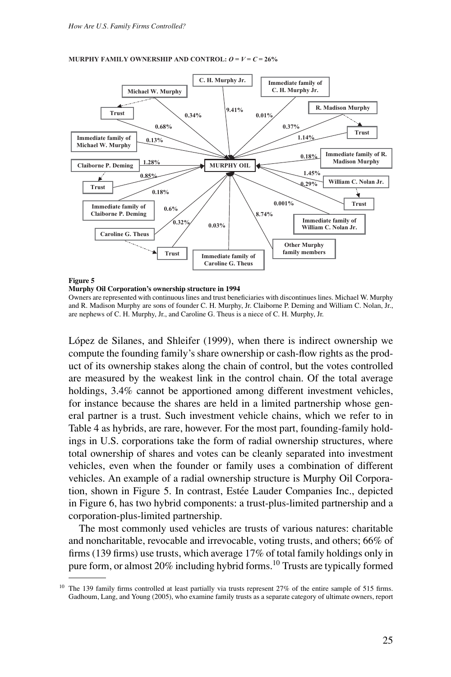#### **MURPHY FAMILY OWNERSHIP AND CONTROL:**  $O = V = C = 26\%$



**Figure 5**

**Murphy Oil Corporation's ownership structure in 1994**

Owners are represented with continuous lines and trust beneficiaries with discontinues lines. Michael W. Murphy and R. Madison Murphy are sons of founder C. H. Murphy, Jr. Claiborne P. Deming and William C. Nolan, Jr., are nephews of C. H. Murphy, Jr., and Caroline G. Theus is a niece of C. H. Murphy, Jr.

López de Silanes, and Shleifer (1999), when there is indirect ownership we compute the founding family's share ownership or cash-flow rights as the product of its ownership stakes along the chain of control, but the votes controlled are measured by the weakest link in the control chain. Of the total average holdings, 3.4% cannot be apportioned among different investment vehicles, for instance because the shares are held in a limited partnership whose general partner is a trust. Such investment vehicle chains, which we refer to in Table 4 as hybrids, are rare, however. For the most part, founding-family holdings in U.S. corporations take the form of radial ownership structures, where total ownership of shares and votes can be cleanly separated into investment vehicles, even when the founder or family uses a combination of different vehicles. An example of a radial ownership structure is Murphy Oil Corporation, shown in Figure 5. In contrast, Estée Lauder Companies Inc., depicted in Figure 6, has two hybrid components: a trust-plus-limited partnership and a corporation-plus-limited partnership.

The most commonly used vehicles are trusts of various natures: charitable and noncharitable, revocable and irrevocable, voting trusts, and others; 66% of firms (139 firms) use trusts, which average 17% of total family holdings only in pure form, or almost  $20\%$  including hybrid forms.<sup>10</sup> Trusts are typically formed

The 139 family firms controlled at least partially via trusts represent 27% of the entire sample of 515 firms. Gadhoum, Lang, and Young (2005), who examine family trusts as a separate category of ultimate owners, report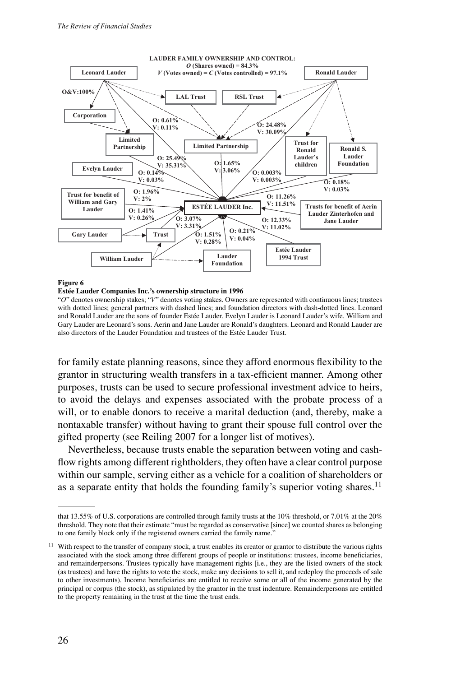

#### **Figure 6**

#### **Estee Lauder Companies Inc.'s ownership structure in 1996 ´**

"*O*" denotes ownership stakes; "*V*" denotes voting stakes. Owners are represented with continuous lines; trustees with dotted lines; general partners with dashed lines; and foundation directors with dash-dotted lines. Leonard and Ronald Lauder are the sons of founder Estée Lauder. Evelyn Lauder is Leonard Lauder's wife. William and Gary Lauder are Leonard's sons. Aerin and Jane Lauder are Ronald's daughters. Leonard and Ronald Lauder are also directors of the Lauder Foundation and trustees of the Estée Lauder Trust.

for family estate planning reasons, since they afford enormous flexibility to the grantor in structuring wealth transfers in a tax-efficient manner. Among other purposes, trusts can be used to secure professional investment advice to heirs, to avoid the delays and expenses associated with the probate process of a will, or to enable donors to receive a marital deduction (and, thereby, make a nontaxable transfer) without having to grant their spouse full control over the gifted property (see Reiling 2007 for a longer list of motives).

Nevertheless, because trusts enable the separation between voting and cashflow rights among different rightholders, they often have a clear control purpose within our sample, serving either as a vehicle for a coalition of shareholders or as a separate entity that holds the founding family's superior voting shares.<sup>11</sup>

that 13.55% of U.S. corporations are controlled through family trusts at the 10% threshold, or 7.01% at the 20% threshold. They note that their estimate "must be regarded as conservative [since] we counted shares as belonging to one family block only if the registered owners carried the family name.'

<sup>&</sup>lt;sup>11</sup> With respect to the transfer of company stock, a trust enables its creator or grantor to distribute the various rights associated with the stock among three different groups of people or institutions: trustees, income beneficiaries, and remainderpersons. Trustees typically have management rights [i.e., they are the listed owners of the stock (as trustees) and have the rights to vote the stock, make any decisions to sell it, and redeploy the proceeds of sale to other investments). Income beneficiaries are entitled to receive some or all of the income generated by the principal or corpus (the stock), as stipulated by the grantor in the trust indenture. Remainderpersons are entitled to the property remaining in the trust at the time the trust ends.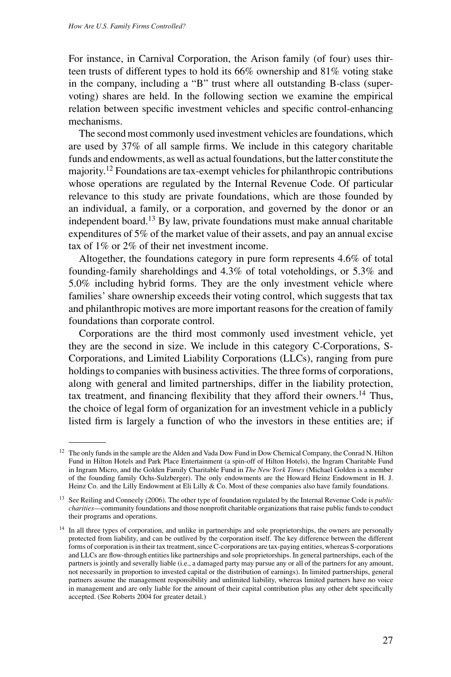For instance, in Carnival Corporation, the Arison family (of four) uses thirteen trusts of different types to hold its 66% ownership and 81% voting stake in the company, including a "B" trust where all outstanding B-class (supervoting) shares are held. In the following section we examine the empirical relation between specific investment vehicles and specific control-enhancing mechanisms.

The second most commonly used investment vehicles are foundations, which are used by 37% of all sample firms. We include in this category charitable funds and endowments, as well as actual foundations, but the latter constitute the majority.<sup>12</sup> Foundations are tax-exempt vehicles for philanthropic contributions whose operations are regulated by the Internal Revenue Code. Of particular relevance to this study are private foundations, which are those founded by an individual, a family, or a corporation, and governed by the donor or an independent board.<sup>13</sup> By law, private foundations must make annual charitable expenditures of 5% of the market value of their assets, and pay an annual excise tax of 1% or 2% of their net investment income.

Altogether, the foundations category in pure form represents 4.6% of total founding-family shareholdings and 4.3% of total voteholdings, or 5.3% and 5.0% including hybrid forms. They are the only investment vehicle where families' share ownership exceeds their voting control, which suggests that tax and philanthropic motives are more important reasons for the creation of family foundations than corporate control.

Corporations are the third most commonly used investment vehicle, yet they are the second in size. We include in this category C-Corporations, S-Corporations, and Limited Liability Corporations (LLCs), ranging from pure holdings to companies with business activities. The three forms of corporations, along with general and limited partnerships, differ in the liability protection, tax treatment, and financing flexibility that they afford their owners.<sup>14</sup> Thus, the choice of legal form of organization for an investment vehicle in a publicly listed firm is largely a function of who the investors in these entities are; if

<sup>&</sup>lt;sup>12</sup> The only funds in the sample are the Alden and Vada Dow Fund in Dow Chemical Company, the Conrad N. Hilton Fund in Hilton Hotels and Park Place Entertainment (a spin-off of Hilton Hotels), the Ingram Charitable Fund in Ingram Micro, and the Golden Family Charitable Fund in *The New York Times* (Michael Golden is a member of the founding family Ochs-Sulzberger). The only endowments are the Howard Heinz Endowment in H. J. Heinz Co. and the Lilly Endowment at Eli Lilly & Co. Most of these companies also have family foundations.

<sup>13</sup> See Reiling and Conneely (2006). The other type of foundation regulated by the Internal Revenue Code is *public charities*—community foundations and those nonprofit charitable organizations that raise public funds to conduct their programs and operations.

<sup>&</sup>lt;sup>14</sup> In all three types of corporation, and unlike in partnerships and sole proprietorships, the owners are personally protected from liability, and can be outlived by the corporation itself. The key difference between the different forms of corporation is in their tax treatment, since C-corporations are tax-paying entities, whereas S-corporations and LLCs are flow-through entities like partnerships and sole proprietorships. In general partnerships, each of the partners is jointly and severally liable (i.e., a damaged party may pursue any or all of the partners for any amount, not necessarily in proportion to invested capital or the distribution of earnings). In limited partnerships, general partners assume the management responsibility and unlimited liability, whereas limited partners have no voice in management and are only liable for the amount of their capital contribution plus any other debt specifically accepted. (See Roberts 2004 for greater detail.)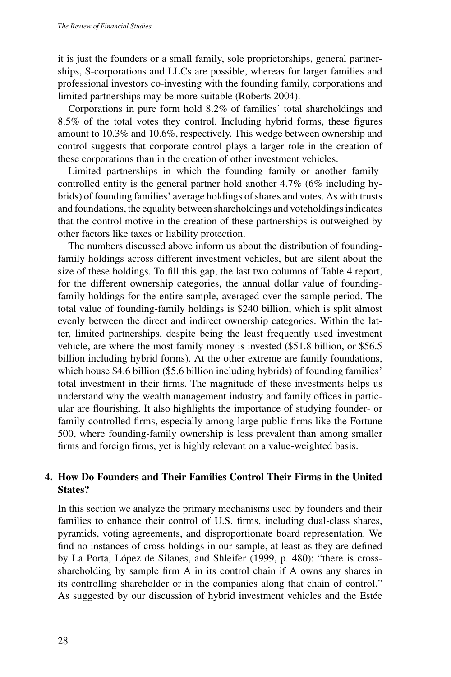it is just the founders or a small family, sole proprietorships, general partnerships, S-corporations and LLCs are possible, whereas for larger families and professional investors co-investing with the founding family, corporations and limited partnerships may be more suitable (Roberts 2004).

Corporations in pure form hold 8.2% of families' total shareholdings and 8.5% of the total votes they control. Including hybrid forms, these figures amount to 10.3% and 10.6%, respectively. This wedge between ownership and control suggests that corporate control plays a larger role in the creation of these corporations than in the creation of other investment vehicles.

Limited partnerships in which the founding family or another familycontrolled entity is the general partner hold another 4.7% (6% including hybrids) of founding families' average holdings of shares and votes. As with trusts and foundations, the equality between shareholdings and voteholdings indicates that the control motive in the creation of these partnerships is outweighed by other factors like taxes or liability protection.

The numbers discussed above inform us about the distribution of foundingfamily holdings across different investment vehicles, but are silent about the size of these holdings. To fill this gap, the last two columns of Table 4 report, for the different ownership categories, the annual dollar value of foundingfamily holdings for the entire sample, averaged over the sample period. The total value of founding-family holdings is \$240 billion, which is split almost evenly between the direct and indirect ownership categories. Within the latter, limited partnerships, despite being the least frequently used investment vehicle, are where the most family money is invested (\$51.8 billion, or \$56.5 billion including hybrid forms). At the other extreme are family foundations, which house \$4.6 billion (\$5.6 billion including hybrids) of founding families' total investment in their firms. The magnitude of these investments helps us understand why the wealth management industry and family offices in particular are flourishing. It also highlights the importance of studying founder- or family-controlled firms, especially among large public firms like the Fortune 500, where founding-family ownership is less prevalent than among smaller firms and foreign firms, yet is highly relevant on a value-weighted basis.

# **4. How Do Founders and Their Families Control Their Firms in the United States?**

In this section we analyze the primary mechanisms used by founders and their families to enhance their control of U.S. firms, including dual-class shares, pyramids, voting agreements, and disproportionate board representation. We find no instances of cross-holdings in our sample, at least as they are defined by La Porta, López de Silanes, and Shleifer (1999, p. 480): "there is crossshareholding by sample firm A in its control chain if A owns any shares in its controlling shareholder or in the companies along that chain of control." As suggested by our discussion of hybrid investment vehicles and the Estée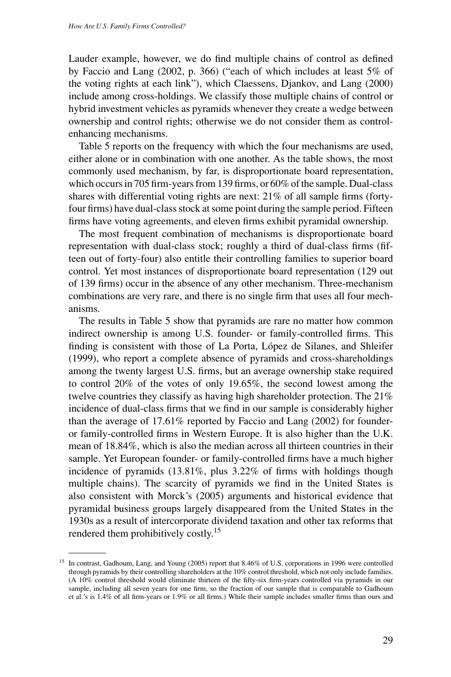Lauder example, however, we do find multiple chains of control as defined by Faccio and Lang (2002, p. 366) ("each of which includes at least 5% of the voting rights at each link"), which Claessens, Djankov, and Lang (2000) include among cross-holdings. We classify those multiple chains of control or hybrid investment vehicles as pyramids whenever they create a wedge between ownership and control rights; otherwise we do not consider them as controlenhancing mechanisms.

Table 5 reports on the frequency with which the four mechanisms are used, either alone or in combination with one another. As the table shows, the most commonly used mechanism, by far, is disproportionate board representation, which occurs in 705 firm-years from 139 firms, or 60% of the sample. Dual-class shares with differential voting rights are next: 21% of all sample firms (fortyfour firms) have dual-class stock at some point during the sample period. Fifteen firms have voting agreements, and eleven firms exhibit pyramidal ownership.

The most frequent combination of mechanisms is disproportionate board representation with dual-class stock; roughly a third of dual-class firms (fifteen out of forty-four) also entitle their controlling families to superior board control. Yet most instances of disproportionate board representation (129 out of 139 firms) occur in the absence of any other mechanism. Three-mechanism combinations are very rare, and there is no single firm that uses all four mechanisms.

The results in Table 5 show that pyramids are rare no matter how common indirect ownership is among U.S. founder- or family-controlled firms. This finding is consistent with those of La Porta, López de Silanes, and Shleifer (1999), who report a complete absence of pyramids and cross-shareholdings among the twenty largest U.S. firms, but an average ownership stake required to control 20% of the votes of only 19.65%, the second lowest among the twelve countries they classify as having high shareholder protection. The 21% incidence of dual-class firms that we find in our sample is considerably higher than the average of 17.61% reported by Faccio and Lang (2002) for founderor family-controlled firms in Western Europe. It is also higher than the U.K. mean of 18.84%, which is also the median across all thirteen countries in their sample. Yet European founder- or family-controlled firms have a much higher incidence of pyramids (13.81%, plus 3.22% of firms with holdings though multiple chains). The scarcity of pyramids we find in the United States is also consistent with Morck's (2005) arguments and historical evidence that pyramidal business groups largely disappeared from the United States in the 1930s as a result of intercorporate dividend taxation and other tax reforms that rendered them prohibitively costly.<sup>15</sup>

<sup>15</sup> In contrast, Gadhoum, Lang, and Young (2005) report that 8.46% of U.S. corporations in 1996 were controlled through pyramids by their controlling shareholders at the 10% control threshold, which not only include families. (A 10% control threshold would eliminate thirteen of the fifty-six firm-years controlled via pyramids in our sample, including all seven years for one firm, so the fraction of our sample that is comparable to Gadhoum et al.'s is 1.4% of all firm-years or 1.9% or all firms.) While their sample includes smaller firms than ours and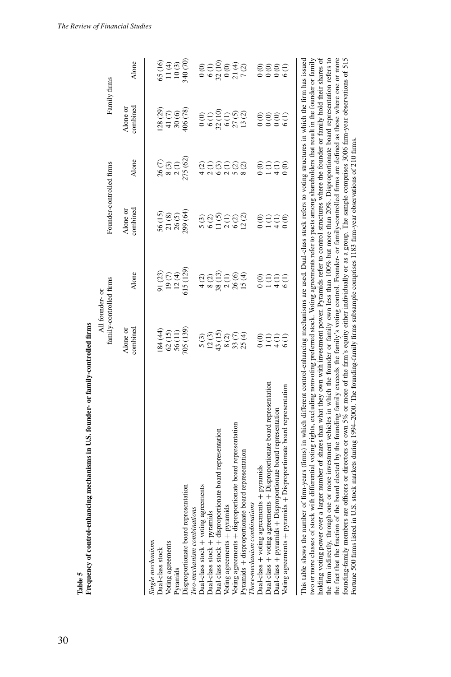| $12(4)$<br>615 (129)<br>91 (23)<br>$\frac{38\,(13)}{2\,(1)}$<br>Alone<br>$19(7)$<br>26(6)<br>4(2)<br>$8\ (2)$<br>combined<br>$\frac{56(11)}{705(139)}$<br>Alone or<br>184 (44)<br>62(15)<br>43 (15)<br>12(3)<br>33(7)<br>25(4)<br>$8(2)$<br>5(3)<br>Voting agreements + disproportionate board representation<br>Dual-class stock + disproportionate board representation<br>Pyramids + disproportionate board representation<br>Disproportionate board representation<br>Dual-class stock + voting agreements<br>Voting agreements + pyramids<br>Two-mechanism combinations<br>Dual-class stock + pyramids<br>Single mechanisms<br>Voting agreements<br>Dual-class stock<br>Pyramids                                                                                                                                                                                                                                                                                                                                                                                                                                                             |       | combined<br>Alone or                         |                                                                                                                 | Family firms                                 |                                         |
|---------------------------------------------------------------------------------------------------------------------------------------------------------------------------------------------------------------------------------------------------------------------------------------------------------------------------------------------------------------------------------------------------------------------------------------------------------------------------------------------------------------------------------------------------------------------------------------------------------------------------------------------------------------------------------------------------------------------------------------------------------------------------------------------------------------------------------------------------------------------------------------------------------------------------------------------------------------------------------------------------------------------------------------------------------------------------------------------------------------------------------------------------|-------|----------------------------------------------|-----------------------------------------------------------------------------------------------------------------|----------------------------------------------|-----------------------------------------|
|                                                                                                                                                                                                                                                                                                                                                                                                                                                                                                                                                                                                                                                                                                                                                                                                                                                                                                                                                                                                                                                                                                                                                   |       |                                              | Alone                                                                                                           | combined<br>Alone or                         | Alone                                   |
|                                                                                                                                                                                                                                                                                                                                                                                                                                                                                                                                                                                                                                                                                                                                                                                                                                                                                                                                                                                                                                                                                                                                                   |       |                                              |                                                                                                                 |                                              |                                         |
|                                                                                                                                                                                                                                                                                                                                                                                                                                                                                                                                                                                                                                                                                                                                                                                                                                                                                                                                                                                                                                                                                                                                                   |       | $\frac{56(15)}{21(8)}$                       | 26(7)                                                                                                           | .28(29)                                      | 65 (16)<br>11 (4)<br>10 (7)<br>340 (70) |
|                                                                                                                                                                                                                                                                                                                                                                                                                                                                                                                                                                                                                                                                                                                                                                                                                                                                                                                                                                                                                                                                                                                                                   |       |                                              |                                                                                                                 | $41(7)$                                      |                                         |
|                                                                                                                                                                                                                                                                                                                                                                                                                                                                                                                                                                                                                                                                                                                                                                                                                                                                                                                                                                                                                                                                                                                                                   |       | $26(5)$                                      | $8(3)$<br>$2(1)$<br>$275(62)$                                                                                   | 30 (6)<br>406 (78)                           |                                         |
|                                                                                                                                                                                                                                                                                                                                                                                                                                                                                                                                                                                                                                                                                                                                                                                                                                                                                                                                                                                                                                                                                                                                                   |       | 299 (64)                                     |                                                                                                                 |                                              |                                         |
|                                                                                                                                                                                                                                                                                                                                                                                                                                                                                                                                                                                                                                                                                                                                                                                                                                                                                                                                                                                                                                                                                                                                                   |       |                                              |                                                                                                                 |                                              |                                         |
|                                                                                                                                                                                                                                                                                                                                                                                                                                                                                                                                                                                                                                                                                                                                                                                                                                                                                                                                                                                                                                                                                                                                                   |       | 5(3)                                         | 4(2)                                                                                                            | $\circledcirc$                               |                                         |
|                                                                                                                                                                                                                                                                                                                                                                                                                                                                                                                                                                                                                                                                                                                                                                                                                                                                                                                                                                                                                                                                                                                                                   |       |                                              |                                                                                                                 |                                              |                                         |
|                                                                                                                                                                                                                                                                                                                                                                                                                                                                                                                                                                                                                                                                                                                                                                                                                                                                                                                                                                                                                                                                                                                                                   |       |                                              |                                                                                                                 |                                              |                                         |
|                                                                                                                                                                                                                                                                                                                                                                                                                                                                                                                                                                                                                                                                                                                                                                                                                                                                                                                                                                                                                                                                                                                                                   |       |                                              |                                                                                                                 |                                              |                                         |
|                                                                                                                                                                                                                                                                                                                                                                                                                                                                                                                                                                                                                                                                                                                                                                                                                                                                                                                                                                                                                                                                                                                                                   |       |                                              |                                                                                                                 |                                              |                                         |
|                                                                                                                                                                                                                                                                                                                                                                                                                                                                                                                                                                                                                                                                                                                                                                                                                                                                                                                                                                                                                                                                                                                                                   | 15(4) |                                              | $\begin{array}{c}\n\ominus \circ \ominus \circ \circ \\ \sim \circ \circ \circ \circ \circ \\ \sim \end{array}$ |                                              |                                         |
| Three-mechanism combinations                                                                                                                                                                                                                                                                                                                                                                                                                                                                                                                                                                                                                                                                                                                                                                                                                                                                                                                                                                                                                                                                                                                      |       |                                              |                                                                                                                 |                                              |                                         |
| $\odot$<br>$\circ$<br>$Dual-class + voting$ agreements $+$ pyramids                                                                                                                                                                                                                                                                                                                                                                                                                                                                                                                                                                                                                                                                                                                                                                                                                                                                                                                                                                                                                                                                               |       | $\odot$                                      | (0)                                                                                                             | $^{(0)}$                                     |                                         |
| $\widehat{\Xi}$<br>Dual-class + voting agreements + Disproportionate board representation                                                                                                                                                                                                                                                                                                                                                                                                                                                                                                                                                                                                                                                                                                                                                                                                                                                                                                                                                                                                                                                         |       | $\begin{matrix} 1 & 0 \\ 4 & 0 \end{matrix}$ | $\widehat{\Xi}$                                                                                                 | $\begin{matrix} 0 & 0 \\ 0 & 0 \end{matrix}$ | <b>ତି</b> ଚିତି<br>୦୦୦                   |
| $\widehat{\Xi}$<br>Dual-class + pyramids + Disproportionate board representation                                                                                                                                                                                                                                                                                                                                                                                                                                                                                                                                                                                                                                                                                                                                                                                                                                                                                                                                                                                                                                                                  |       |                                              |                                                                                                                 |                                              |                                         |
| 6(1)<br>6(1)<br>Voting agreements + pyramids + Disproportionate board representation                                                                                                                                                                                                                                                                                                                                                                                                                                                                                                                                                                                                                                                                                                                                                                                                                                                                                                                                                                                                                                                              |       | $^{0}$ (0)                                   | (0)                                                                                                             | 6(1)                                         | 6(1)                                    |
| two or more classes of stock with differential voting rights, excluding nonvoting preferred stock. Voting agreements refer to pacts among shareholders that result in the founder or family<br>holding voting power over a larger number of shares than what they own with investment power. Pyramids refer to control structures where the founder or family hold their shares of<br>the firm indirectly, through one or more investment vehicles in which the founder or family own less than 100% but more than 20%. Disproportionate board representation refers to<br>the fact that the fraction of the board elected by the founding family exceeds the family's voting control. Founder- or family-controlled firms are defined as those where one or more<br>This table shows the number of firm-years (firms) in which different control-enhancing mechanisms are used. Dual-class stock refers to voting structures in which the firm has issued<br>founding-family members are officers or directors or own 5% or more of the firm's equity either individually or as a group. The sample comprises 3006 firm-year observations of 515 |       |                                              |                                                                                                                 |                                              |                                         |

*The Review of Financial Studies*

Table 5<br>Frequency of control-enhancing mechanisms in U.S. founder- or family-controlled firms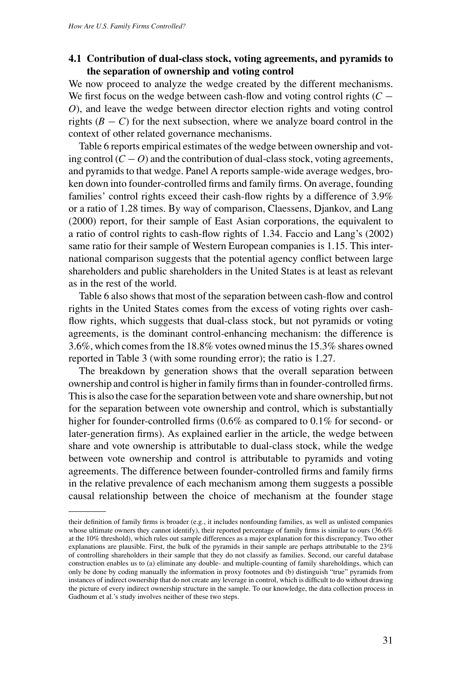# **4.1 Contribution of dual-class stock, voting agreements, and pyramids to the separation of ownership and voting control**

We now proceed to analyze the wedge created by the different mechanisms. We first focus on the wedge between cash-flow and voting control rights  $(C -$ *O*), and leave the wedge between director election rights and voting control rights  $(B - C)$  for the next subsection, where we analyze board control in the context of other related governance mechanisms.

Table 6 reports empirical estimates of the wedge between ownership and voting control  $(C - O)$  and the contribution of dual-class stock, voting agreements, and pyramids to that wedge. Panel A reports sample-wide average wedges, broken down into founder-controlled firms and family firms. On average, founding families' control rights exceed their cash-flow rights by a difference of 3.9% or a ratio of 1.28 times. By way of comparison, Claessens, Djankov, and Lang (2000) report, for their sample of East Asian corporations, the equivalent to a ratio of control rights to cash-flow rights of 1.34. Faccio and Lang's (2002) same ratio for their sample of Western European companies is 1.15. This international comparison suggests that the potential agency conflict between large shareholders and public shareholders in the United States is at least as relevant as in the rest of the world.

Table 6 also shows that most of the separation between cash-flow and control rights in the United States comes from the excess of voting rights over cashflow rights, which suggests that dual-class stock, but not pyramids or voting agreements, is the dominant control-enhancing mechanism: the difference is 3.6%, which comes from the 18.8% votes owned minus the 15.3% shares owned reported in Table 3 (with some rounding error); the ratio is 1.27.

The breakdown by generation shows that the overall separation between ownership and control is higher in family firms than in founder-controlled firms. This is also the case for the separation between vote and share ownership, but not for the separation between vote ownership and control, which is substantially higher for founder-controlled firms (0.6% as compared to 0.1% for second- or later-generation firms). As explained earlier in the article, the wedge between share and vote ownership is attributable to dual-class stock, while the wedge between vote ownership and control is attributable to pyramids and voting agreements. The difference between founder-controlled firms and family firms in the relative prevalence of each mechanism among them suggests a possible causal relationship between the choice of mechanism at the founder stage

their definition of family firms is broader (e.g., it includes nonfounding families, as well as unlisted companies whose ultimate owners they cannot identify), their reported percentage of family firms is similar to ours (36.6%) at the 10% threshold), which rules out sample differences as a major explanation for this discrepancy. Two other explanations are plausible. First, the bulk of the pyramids in their sample are perhaps attributable to the 23% of controlling shareholders in their sample that they do not classify as families. Second, our careful database construction enables us to (a) eliminate any double- and multiple-counting of family shareholdings, which can only be done by coding manually the information in proxy footnotes and (b) distinguish "true" pyramids from instances of indirect ownership that do not create any leverage in control, which is difficult to do without drawing the picture of every indirect ownership structure in the sample. To our knowledge, the data collection process in Gadhoum et al.'s study involves neither of these two steps.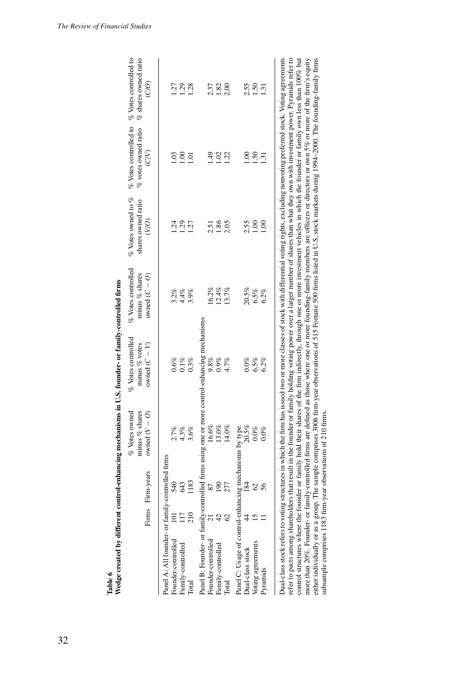|                                                        |                 |                  | $%$ Votes owned<br>minus $%$ shares | % Votes controlled<br>minus % votes                                                                                                                                                                                                                                                                                                                                              | % Votes controlled<br>minus % shares | shares owned ratio | % votes owned ratio       | % Votes owned to % % Votes controlled to % Votes controlled to<br>$%$ shares owned ratio |
|--------------------------------------------------------|-----------------|------------------|-------------------------------------|----------------------------------------------------------------------------------------------------------------------------------------------------------------------------------------------------------------------------------------------------------------------------------------------------------------------------------------------------------------------------------|--------------------------------------|--------------------|---------------------------|------------------------------------------------------------------------------------------|
|                                                        |                 | Firms Firm-years | owned $(V - O)$                     | owned $(C - V)$                                                                                                                                                                                                                                                                                                                                                                  | owned $(C - O)$                      | $\widetilde{N}(X)$ | $\widetilde{\mathcal{E}}$ | $\widehat{C}^{(0)}$                                                                      |
| Panel A: All founder- or family-controlled firms       |                 |                  |                                     |                                                                                                                                                                                                                                                                                                                                                                                  |                                      |                    |                           |                                                                                          |
| Founder-controlled                                     | $\Xi$           | 540              | 2.7%                                | 0.6%                                                                                                                                                                                                                                                                                                                                                                             | 3.2%                                 | $\overline{c}$ 4   | 1.03                      | 1.27                                                                                     |
| Family-controlled                                      | 117             | 643              | 4.3%                                | $0.1\%$                                                                                                                                                                                                                                                                                                                                                                          | $4.4\%$                              | 1.29               | 1.00                      | 1.28                                                                                     |
| Total                                                  | 210             | 1183             | 3.6%                                | 0.3%                                                                                                                                                                                                                                                                                                                                                                             | 3.9%                                 | 1.27               | $\overline{0}$            |                                                                                          |
|                                                        |                 |                  |                                     | Panel B: Founder- or family-controlled firms using one or more control-enhancing mechanisms                                                                                                                                                                                                                                                                                      |                                      |                    |                           |                                                                                          |
| Founder-controlled                                     | $\overline{a}$  | 87               | 16.6%                               | 9.8%                                                                                                                                                                                                                                                                                                                                                                             | 16.2%                                | 2.51               | 49                        | 2.37                                                                                     |
| Family-controlled                                      | $\overline{42}$ | 190              | 13.0%                               | $0.9\%$                                                                                                                                                                                                                                                                                                                                                                          | 12.4%                                | 1.86               | $1.02$<br>$1.22$          | 1.82<br>2.00                                                                             |
| Total                                                  | $\mathcal{O}$   | 277              | 14.0%                               | 4.7%                                                                                                                                                                                                                                                                                                                                                                             | 13.7%                                | 2.05               |                           |                                                                                          |
| Panel C: Usage of control-enhancing mechanisms by type |                 |                  |                                     |                                                                                                                                                                                                                                                                                                                                                                                  |                                      |                    |                           |                                                                                          |
| Dual-class stock                                       | 4               | 184              | 20.5%                               | $0.0\%$                                                                                                                                                                                                                                                                                                                                                                          | 20.5%                                | 2.55               | 00.1                      |                                                                                          |
| Voting agreements                                      | $\overline{15}$ | $rac{62}{56}$    | $0.0\%$                             | 6.5%                                                                                                                                                                                                                                                                                                                                                                             | 6.5%                                 | 0.01               | 1.50                      | 2.55<br>1.50                                                                             |
| Pyramids                                               |                 |                  | 0.0%                                | 6.2%                                                                                                                                                                                                                                                                                                                                                                             | $6.2\%$                              | $\overline{0}$     | 1.31                      | 131                                                                                      |
|                                                        |                 |                  |                                     |                                                                                                                                                                                                                                                                                                                                                                                  |                                      |                    |                           |                                                                                          |
|                                                        |                 |                  |                                     | Dual-class stock refers to voting structures in which the firm has issued two or more classes of stock with differential voting rights, excluding nonvoting preferred stock. Voting agreements                                                                                                                                                                                   |                                      |                    |                           |                                                                                          |
|                                                        |                 |                  |                                     | refer to pacts among shareholders that result in the founder or family holding voting power over a larger number of shares than what they own with investment power. Pyramids refer to<br>control structures where the founder or family hold their shares of the firm indirectly, through one or more investment vehicles in which the founder or family own less than 100% but |                                      |                    |                           |                                                                                          |
|                                                        |                 |                  |                                     | more than 20%. Founder- or family-controlled firms are defined as those where one or more founding-family members are officers or directors or own 5% or more of the firm's equity                                                                                                                                                                                               |                                      |                    |                           |                                                                                          |
|                                                        |                 |                  |                                     | either individually or as a ground a commisse 2006 firm wear observations of 515 Earting SOO firms listed in LIS stroke markets during 1004_2000_The found in a family firms                                                                                                                                                                                                     |                                      |                    |                           |                                                                                          |

Table 6<br>Wedge created by different control-enhancing mechanisms in U.S. founder- or family-controlled firms

-2000. The founding-family firms either individually or as a group. The sample comprises 3006 firm-year observations of 515 Fortune 500 firms listed in U.S. stock markets during 1994–2000. The founding-family firms stock markets during 1994– entier mdividually or as a group. The sample comprises 3006 mm-year observations of >1.5 Fortune 500 mms isted in U.S.<br>subsample comprises 1183 firm-year observations of 210 firms. subsample comprises 1183 firm-year observations of 210 firms.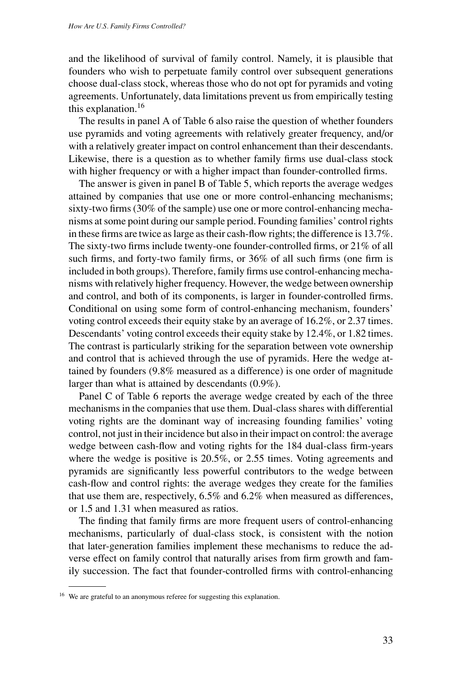and the likelihood of survival of family control. Namely, it is plausible that founders who wish to perpetuate family control over subsequent generations choose dual-class stock, whereas those who do not opt for pyramids and voting agreements. Unfortunately, data limitations prevent us from empirically testing this explanation.<sup>16</sup>

The results in panel A of Table 6 also raise the question of whether founders use pyramids and voting agreements with relatively greater frequency, and/or with a relatively greater impact on control enhancement than their descendants. Likewise, there is a question as to whether family firms use dual-class stock with higher frequency or with a higher impact than founder-controlled firms.

The answer is given in panel B of Table 5, which reports the average wedges attained by companies that use one or more control-enhancing mechanisms; sixty-two firms (30% of the sample) use one or more control-enhancing mechanisms at some point during our sample period. Founding families' control rights in these firms are twice as large as their cash-flow rights; the difference is 13.7%. The sixty-two firms include twenty-one founder-controlled firms, or 21% of all such firms, and forty-two family firms, or 36% of all such firms (one firm is included in both groups). Therefore, family firms use control-enhancing mechanisms with relatively higher frequency. However, the wedge between ownership and control, and both of its components, is larger in founder-controlled firms. Conditional on using some form of control-enhancing mechanism, founders' voting control exceeds their equity stake by an average of 16.2%, or 2.37 times. Descendants' voting control exceeds their equity stake by 12.4%, or 1.82 times. The contrast is particularly striking for the separation between vote ownership and control that is achieved through the use of pyramids. Here the wedge attained by founders (9.8% measured as a difference) is one order of magnitude larger than what is attained by descendants (0.9%).

Panel C of Table 6 reports the average wedge created by each of the three mechanisms in the companies that use them. Dual-class shares with differential voting rights are the dominant way of increasing founding families' voting control, not just in their incidence but also in their impact on control: the average wedge between cash-flow and voting rights for the 184 dual-class firm-years where the wedge is positive is 20.5%, or 2.55 times. Voting agreements and pyramids are significantly less powerful contributors to the wedge between cash-flow and control rights: the average wedges they create for the families that use them are, respectively, 6.5% and 6.2% when measured as differences, or 1.5 and 1.31 when measured as ratios.

The finding that family firms are more frequent users of control-enhancing mechanisms, particularly of dual-class stock, is consistent with the notion that later-generation families implement these mechanisms to reduce the adverse effect on family control that naturally arises from firm growth and family succession. The fact that founder-controlled firms with control-enhancing

We are grateful to an anonymous referee for suggesting this explanation.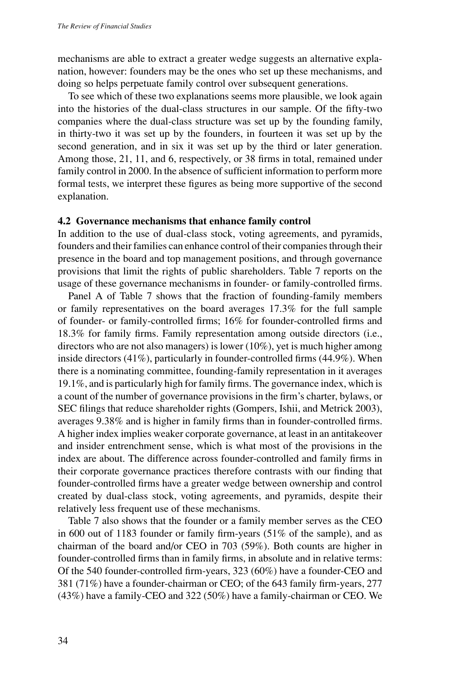mechanisms are able to extract a greater wedge suggests an alternative explanation, however: founders may be the ones who set up these mechanisms, and doing so helps perpetuate family control over subsequent generations.

To see which of these two explanations seems more plausible, we look again into the histories of the dual-class structures in our sample. Of the fifty-two companies where the dual-class structure was set up by the founding family, in thirty-two it was set up by the founders, in fourteen it was set up by the second generation, and in six it was set up by the third or later generation. Among those, 21, 11, and 6, respectively, or 38 firms in total, remained under family control in 2000. In the absence of sufficient information to perform more formal tests, we interpret these figures as being more supportive of the second explanation.

## **4.2 Governance mechanisms that enhance family control**

In addition to the use of dual-class stock, voting agreements, and pyramids, founders and their families can enhance control of their companies through their presence in the board and top management positions, and through governance provisions that limit the rights of public shareholders. Table 7 reports on the usage of these governance mechanisms in founder- or family-controlled firms.

Panel A of Table 7 shows that the fraction of founding-family members or family representatives on the board averages 17.3% for the full sample of founder- or family-controlled firms; 16% for founder-controlled firms and 18.3% for family firms. Family representation among outside directors (i.e., directors who are not also managers) is lower (10%), yet is much higher among inside directors (41%), particularly in founder-controlled firms (44.9%). When there is a nominating committee, founding-family representation in it averages 19.1%, and is particularly high for family firms. The governance index, which is a count of the number of governance provisions in the firm's charter, bylaws, or SEC filings that reduce shareholder rights (Gompers, Ishii, and Metrick 2003), averages 9.38% and is higher in family firms than in founder-controlled firms. A higher index implies weaker corporate governance, at least in an antitakeover and insider entrenchment sense, which is what most of the provisions in the index are about. The difference across founder-controlled and family firms in their corporate governance practices therefore contrasts with our finding that founder-controlled firms have a greater wedge between ownership and control created by dual-class stock, voting agreements, and pyramids, despite their relatively less frequent use of these mechanisms.

Table 7 also shows that the founder or a family member serves as the CEO in 600 out of 1183 founder or family firm-years (51% of the sample), and as chairman of the board and/or CEO in 703 (59%). Both counts are higher in founder-controlled firms than in family firms, in absolute and in relative terms: Of the 540 founder-controlled firm-years, 323 (60%) have a founder-CEO and 381 (71%) have a founder-chairman or CEO; of the 643 family firm-years, 277 (43%) have a family-CEO and 322 (50%) have a family-chairman or CEO. We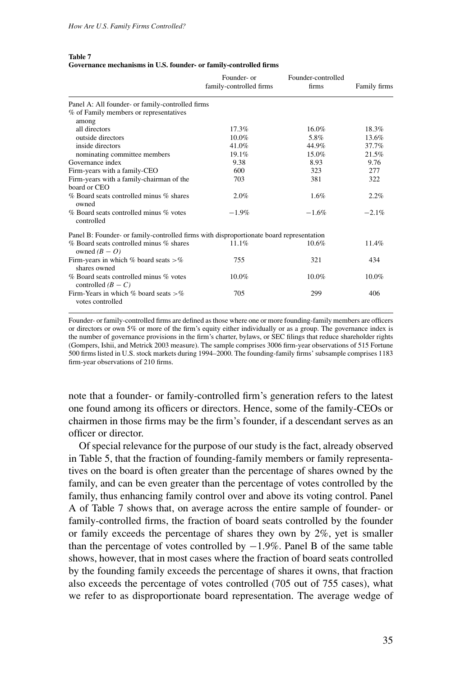| Table 7                                                           |  |  |  |
|-------------------------------------------------------------------|--|--|--|
| Governance mechanisms in U.S. founder- or family-controlled firms |  |  |  |

|                                                                                         | Founder- or<br>family-controlled firms | Founder-controlled<br>firms | Family firms |
|-----------------------------------------------------------------------------------------|----------------------------------------|-----------------------------|--------------|
| Panel A: All founder- or family-controlled firms                                        |                                        |                             |              |
| % of Family members or representatives<br>among                                         |                                        |                             |              |
| all directors                                                                           | 17.3%                                  | $16.0\%$                    | 18.3%        |
| outside directors                                                                       | $10.0\%$                               | 5.8%                        | 13.6%        |
| inside directors                                                                        | 41.0%                                  | 44.9%                       | 37.7%        |
| nominating committee members                                                            | 19.1%                                  | 15.0%                       | 21.5%        |
| Governance index                                                                        | 9.38                                   | 8.93                        | 9.76         |
| Firm-years with a family-CEO                                                            | 600                                    | 323                         | 277          |
| Firm-years with a family-chairman of the                                                | 703                                    | 381                         | 322          |
| board or CEO                                                                            |                                        |                             |              |
| % Board seats controlled minus % shares<br>owned                                        | 2.0%                                   | $1.6\%$                     | 2.2%         |
| % Board seats controlled minus % votes<br>controlled                                    | $-1.9%$                                | $-1.6%$                     | $-2.1%$      |
| Panel B: Founder- or family-controlled firms with disproportionate board representation |                                        |                             |              |
| % Board seats controlled minus % shares<br>owned $(B - O)$                              | 11.1%                                  | 10.6%                       | 11.4%        |
| Firm-years in which % board seats $>$ %<br>shares owned                                 | 755                                    | 321                         | 434          |
| % Board seats controlled minus % votes<br>controlled $(B - C)$                          | $10.0\%$                               | 10.0%                       | $10.0\%$     |
| Firm-Years in which % board seats $>$ %<br>votes controlled                             | 705                                    | 299                         | 406          |

Founder- or family-controlled firms are defined as those where one or more founding-family members are officers or directors or own 5% or more of the firm's equity either individually or as a group. The governance index is the number of governance provisions in the firm's charter, bylaws, or SEC filings that reduce shareholder rights (Gompers, Ishii, and Metrick 2003 measure). The sample comprises 3006 firm-year observations of 515 Fortune 500 firms listed in U.S. stock markets during 1994–2000. The founding-family firms' subsample comprises 1183 firm-year observations of 210 firms.

note that a founder- or family-controlled firm's generation refers to the latest one found among its officers or directors. Hence, some of the family-CEOs or chairmen in those firms may be the firm's founder, if a descendant serves as an officer or director.

Of special relevance for the purpose of our study is the fact, already observed in Table 5, that the fraction of founding-family members or family representatives on the board is often greater than the percentage of shares owned by the family, and can be even greater than the percentage of votes controlled by the family, thus enhancing family control over and above its voting control. Panel A of Table 7 shows that, on average across the entire sample of founder- or family-controlled firms, the fraction of board seats controlled by the founder or family exceeds the percentage of shares they own by  $2\%$ , yet is smaller than the percentage of votes controlled by  $-1.9\%$ . Panel B of the same table shows, however, that in most cases where the fraction of board seats controlled by the founding family exceeds the percentage of shares it owns, that fraction also exceeds the percentage of votes controlled (705 out of 755 cases), what we refer to as disproportionate board representation. The average wedge of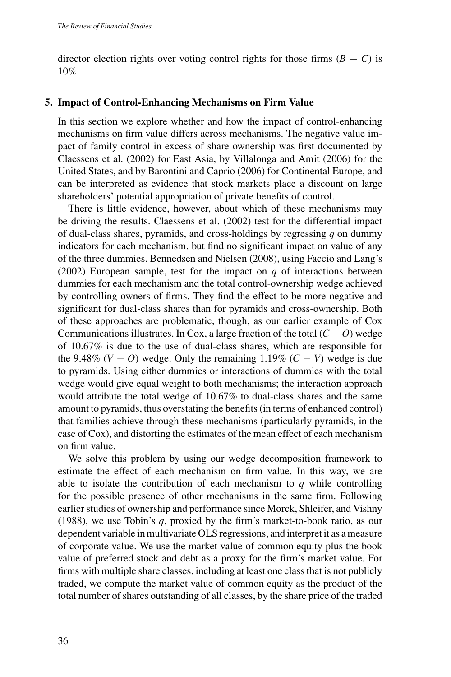director election rights over voting control rights for those firms  $(B - C)$  is 10%.

## **5. Impact of Control-Enhancing Mechanisms on Firm Value**

In this section we explore whether and how the impact of control-enhancing mechanisms on firm value differs across mechanisms. The negative value impact of family control in excess of share ownership was first documented by Claessens et al. (2002) for East Asia, by Villalonga and Amit (2006) for the United States, and by Barontini and Caprio (2006) for Continental Europe, and can be interpreted as evidence that stock markets place a discount on large shareholders' potential appropriation of private benefits of control.

There is little evidence, however, about which of these mechanisms may be driving the results. Claessens et al. (2002) test for the differential impact of dual-class shares, pyramids, and cross-holdings by regressing *q* on dummy indicators for each mechanism, but find no significant impact on value of any of the three dummies. Bennedsen and Nielsen (2008), using Faccio and Lang's (2002) European sample, test for the impact on  $q$  of interactions between dummies for each mechanism and the total control-ownership wedge achieved by controlling owners of firms. They find the effect to be more negative and significant for dual-class shares than for pyramids and cross-ownership. Both of these approaches are problematic, though, as our earlier example of Cox Communications illustrates. In Cox, a large fraction of the total (*C* − *O*) wedge of 10.67% is due to the use of dual-class shares, which are responsible for the 9.48%  $(V - O)$  wedge. Only the remaining 1.19%  $(C - V)$  wedge is due to pyramids. Using either dummies or interactions of dummies with the total wedge would give equal weight to both mechanisms; the interaction approach would attribute the total wedge of 10.67% to dual-class shares and the same amount to pyramids, thus overstating the benefits (in terms of enhanced control) that families achieve through these mechanisms (particularly pyramids, in the case of Cox), and distorting the estimates of the mean effect of each mechanism on firm value.

We solve this problem by using our wedge decomposition framework to estimate the effect of each mechanism on firm value. In this way, we are able to isolate the contribution of each mechanism to  $q$  while controlling for the possible presence of other mechanisms in the same firm. Following earlier studies of ownership and performance since Morck, Shleifer, and Vishny (1988), we use Tobin's *q*, proxied by the firm's market-to-book ratio, as our dependent variable in multivariate OLS regressions, and interpret it as a measure of corporate value. We use the market value of common equity plus the book value of preferred stock and debt as a proxy for the firm's market value. For firms with multiple share classes, including at least one class that is not publicly traded, we compute the market value of common equity as the product of the total number of shares outstanding of all classes, by the share price of the traded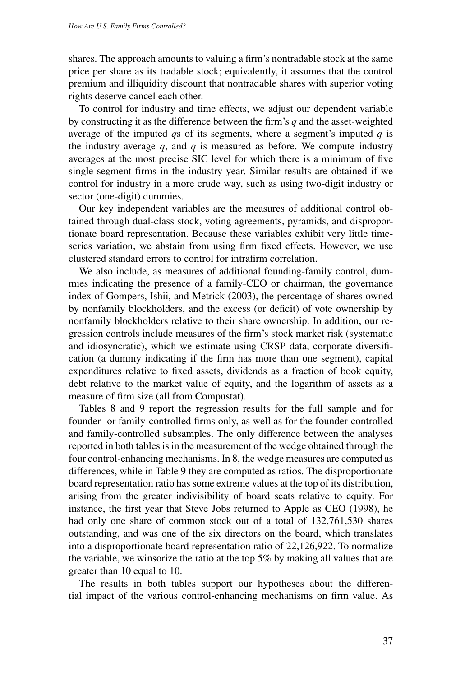shares. The approach amounts to valuing a firm's nontradable stock at the same price per share as its tradable stock; equivalently, it assumes that the control premium and illiquidity discount that nontradable shares with superior voting rights deserve cancel each other.

To control for industry and time effects, we adjust our dependent variable by constructing it as the difference between the firm's *q* and the asset-weighted average of the imputed *q*s of its segments, where a segment's imputed *q* is the industry average  $q$ , and  $q$  is measured as before. We compute industry averages at the most precise SIC level for which there is a minimum of five single-segment firms in the industry-year. Similar results are obtained if we control for industry in a more crude way, such as using two-digit industry or sector (one-digit) dummies.

Our key independent variables are the measures of additional control obtained through dual-class stock, voting agreements, pyramids, and disproportionate board representation. Because these variables exhibit very little timeseries variation, we abstain from using firm fixed effects. However, we use clustered standard errors to control for intrafirm correlation.

We also include, as measures of additional founding-family control, dummies indicating the presence of a family-CEO or chairman, the governance index of Gompers, Ishii, and Metrick (2003), the percentage of shares owned by nonfamily blockholders, and the excess (or deficit) of vote ownership by nonfamily blockholders relative to their share ownership. In addition, our regression controls include measures of the firm's stock market risk (systematic and idiosyncratic), which we estimate using CRSP data, corporate diversification (a dummy indicating if the firm has more than one segment), capital expenditures relative to fixed assets, dividends as a fraction of book equity, debt relative to the market value of equity, and the logarithm of assets as a measure of firm size (all from Compustat).

Tables 8 and 9 report the regression results for the full sample and for founder- or family-controlled firms only, as well as for the founder-controlled and family-controlled subsamples. The only difference between the analyses reported in both tables is in the measurement of the wedge obtained through the four control-enhancing mechanisms. In 8, the wedge measures are computed as differences, while in Table 9 they are computed as ratios. The disproportionate board representation ratio has some extreme values at the top of its distribution, arising from the greater indivisibility of board seats relative to equity. For instance, the first year that Steve Jobs returned to Apple as CEO (1998), he had only one share of common stock out of a total of 132,761,530 shares outstanding, and was one of the six directors on the board, which translates into a disproportionate board representation ratio of 22,126,922. To normalize the variable, we winsorize the ratio at the top 5% by making all values that are greater than 10 equal to 10.

The results in both tables support our hypotheses about the differential impact of the various control-enhancing mechanisms on firm value. As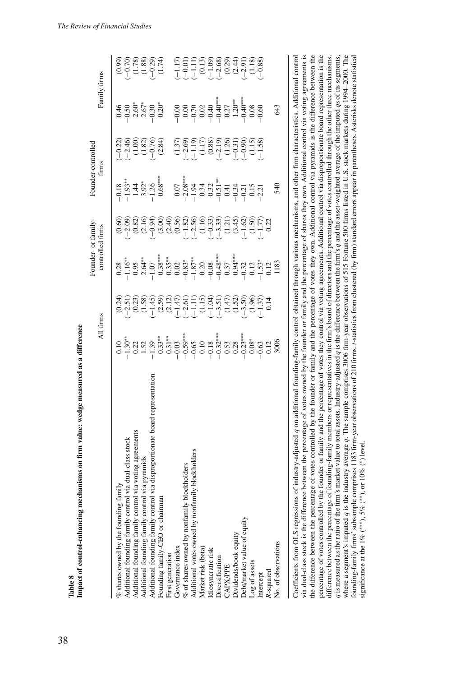|                                                                              |                                                                                                                                                                                                                                                                                                                                                  | All firms                                                                                              | Founder- or family- | controlled firms                                              | Founder-controlled<br>firms                                                                                                                                                                                                                                                                                                                                                                                                                 |                                | Family firms                                                                                                                                                                                                                                                                                                                                                     |
|------------------------------------------------------------------------------|--------------------------------------------------------------------------------------------------------------------------------------------------------------------------------------------------------------------------------------------------------------------------------------------------------------------------------------------------|--------------------------------------------------------------------------------------------------------|---------------------|---------------------------------------------------------------|---------------------------------------------------------------------------------------------------------------------------------------------------------------------------------------------------------------------------------------------------------------------------------------------------------------------------------------------------------------------------------------------------------------------------------------------|--------------------------------|------------------------------------------------------------------------------------------------------------------------------------------------------------------------------------------------------------------------------------------------------------------------------------------------------------------------------------------------------------------|
| $%$ shares owned by the founding family                                      |                                                                                                                                                                                                                                                                                                                                                  |                                                                                                        |                     |                                                               |                                                                                                                                                                                                                                                                                                                                                                                                                                             | 0.46                           |                                                                                                                                                                                                                                                                                                                                                                  |
| Additional founding family control via dual-class stock                      |                                                                                                                                                                                                                                                                                                                                                  | $(0.24)$<br>$(-2.51)$                                                                                  |                     |                                                               |                                                                                                                                                                                                                                                                                                                                                                                                                                             |                                |                                                                                                                                                                                                                                                                                                                                                                  |
| Additional founding family control via voting agreements                     |                                                                                                                                                                                                                                                                                                                                                  |                                                                                                        |                     |                                                               |                                                                                                                                                                                                                                                                                                                                                                                                                                             |                                |                                                                                                                                                                                                                                                                                                                                                                  |
| Additional founding family control via pyramids                              | $\begin{array}{l} 1.03 \\ -1.03 \\ -1.03 \\ -1.03 \\ -1.03 \\ -1.03 \\ -1.03 \\ -1.03 \\ -1.03 \\ -1.03 \\ -1.03 \\ -1.03 \\ -1.03 \\ -1.03 \\ -1.03 \\ -1.03 \\ -1.03 \\ -1.03 \\ -1.03 \\ -1.03 \\ -1.03 \\ -1.03 \\ -1.03 \\ -1.03 \\ -1.03 \\ -1.03 \\ -1.03 \\ -1.03 \\ -1.03 \\ -1.03 \\ -1.03 \\ -1.03 \\ -1.03 \\ -1.03 \\ -1.03 \\ -1.$ | ลิติริกิร์สิธิรัฐธริญิติริกิร์<br>อีธิบุชิติริสิธิรัฐธริญิติริกิร์<br>อีธิบุชิติริสิธิรัฐธริญิติริกิร์ |                     | ၜၟၜၟႜၷၟႝၜႍႜႜၟၜၜၜၟၜၟၷၜၟၜႍႍႍဨၜၟၜၜၟၜ<br>ၜ႞ၜၑ႞ၜၑၜ႞႞႞ႜႝၟ႞ႜၟၮ႞ႜၜၟၜ႞ | $-0.18$<br>$-1.93**$<br>$1.44$<br>$1.39*$<br>$-1.26$<br>$-1.26$                                                                                                                                                                                                                                                                                                                                                                             | 50<br>0.000<br>0.0000<br>0.000 |                                                                                                                                                                                                                                                                                                                                                                  |
| Additional founding family control via disproportionate board representation |                                                                                                                                                                                                                                                                                                                                                  |                                                                                                        |                     |                                                               |                                                                                                                                                                                                                                                                                                                                                                                                                                             |                                |                                                                                                                                                                                                                                                                                                                                                                  |
| Founding family-CEO or chairman                                              |                                                                                                                                                                                                                                                                                                                                                  |                                                                                                        |                     |                                                               |                                                                                                                                                                                                                                                                                                                                                                                                                                             |                                |                                                                                                                                                                                                                                                                                                                                                                  |
| First generation                                                             |                                                                                                                                                                                                                                                                                                                                                  |                                                                                                        |                     |                                                               |                                                                                                                                                                                                                                                                                                                                                                                                                                             |                                |                                                                                                                                                                                                                                                                                                                                                                  |
| Governance index                                                             |                                                                                                                                                                                                                                                                                                                                                  |                                                                                                        |                     |                                                               | 0.07                                                                                                                                                                                                                                                                                                                                                                                                                                        |                                |                                                                                                                                                                                                                                                                                                                                                                  |
| % of shares owned by nonfamily blockholders                                  |                                                                                                                                                                                                                                                                                                                                                  |                                                                                                        |                     |                                                               |                                                                                                                                                                                                                                                                                                                                                                                                                                             |                                |                                                                                                                                                                                                                                                                                                                                                                  |
| Additional votes owned by nonfamily blockholders                             |                                                                                                                                                                                                                                                                                                                                                  |                                                                                                        |                     |                                                               |                                                                                                                                                                                                                                                                                                                                                                                                                                             |                                |                                                                                                                                                                                                                                                                                                                                                                  |
| Market risk (beta)                                                           |                                                                                                                                                                                                                                                                                                                                                  |                                                                                                        |                     |                                                               | $\begin{array}{l} \stackrel{\ast}{\mathsf{39}} \\ \begin{array}{c} \mathsf{10} \\ \mathsf{11} \\ \mathsf{22} \\ \mathsf{33} \\ \mathsf{44} \\ \mathsf{55} \\ \mathsf{66} \\ \mathsf{76} \\ \mathsf{88} \\ \mathsf{89} \\ \mathsf{10} \\ \mathsf{11} \\ \mathsf{12} \\ \mathsf{13} \\ \mathsf{14} \\ \mathsf{15} \\ \mathsf{16} \\ \mathsf{17} \\ \mathsf{18} \\ \mathsf{19} \\ \mathsf{10} \\ \mathsf{12} \\ \mathsf{13} \\ \mathsf{14} \\$ |                                | $\begin{array}{l} (-1.17) \\ (-0.01) \\ (-0.11) \\ (0.13) \\ (-1.10) \\ (-0.01) \\ (-0.01) \\ (-0.01) \\ (-0.01) \\ (-0.01) \\ (-0.01) \\ (-0.01) \\ (-0.01) \\ (-0.01) \\ (-0.01) \\ (-0.01) \\ (-0.01) \\ (-0.01) \\ (-0.01) \\ (-0.01) \\ (-0.01) \\ (-0.01) \\ (-0.01) \\ (-0.01) \\ (-0.01) \\ (-0.01) \\ (-0.01) \\ (-0.01) \\ (-0.01) \\ (-0.01) \\ (-0.$ |
| Idiosyncratic risk                                                           |                                                                                                                                                                                                                                                                                                                                                  |                                                                                                        |                     |                                                               |                                                                                                                                                                                                                                                                                                                                                                                                                                             |                                |                                                                                                                                                                                                                                                                                                                                                                  |
| Diversification                                                              |                                                                                                                                                                                                                                                                                                                                                  |                                                                                                        |                     |                                                               |                                                                                                                                                                                                                                                                                                                                                                                                                                             |                                |                                                                                                                                                                                                                                                                                                                                                                  |
| CAPX/PPE                                                                     |                                                                                                                                                                                                                                                                                                                                                  |                                                                                                        |                     |                                                               |                                                                                                                                                                                                                                                                                                                                                                                                                                             |                                |                                                                                                                                                                                                                                                                                                                                                                  |
| Dividends/book equity                                                        |                                                                                                                                                                                                                                                                                                                                                  |                                                                                                        |                     |                                                               |                                                                                                                                                                                                                                                                                                                                                                                                                                             |                                |                                                                                                                                                                                                                                                                                                                                                                  |
| Debt/market value of equity                                                  |                                                                                                                                                                                                                                                                                                                                                  |                                                                                                        |                     |                                                               |                                                                                                                                                                                                                                                                                                                                                                                                                                             |                                |                                                                                                                                                                                                                                                                                                                                                                  |
| Log of assets                                                                |                                                                                                                                                                                                                                                                                                                                                  |                                                                                                        |                     |                                                               |                                                                                                                                                                                                                                                                                                                                                                                                                                             |                                |                                                                                                                                                                                                                                                                                                                                                                  |
| Intercept                                                                    |                                                                                                                                                                                                                                                                                                                                                  |                                                                                                        |                     |                                                               |                                                                                                                                                                                                                                                                                                                                                                                                                                             |                                |                                                                                                                                                                                                                                                                                                                                                                  |
| R-squared                                                                    | 0.12                                                                                                                                                                                                                                                                                                                                             |                                                                                                        |                     | 0.22                                                          |                                                                                                                                                                                                                                                                                                                                                                                                                                             |                                |                                                                                                                                                                                                                                                                                                                                                                  |
| No. of observations                                                          | 3006                                                                                                                                                                                                                                                                                                                                             |                                                                                                        | 1183                |                                                               | 540                                                                                                                                                                                                                                                                                                                                                                                                                                         | \$                             |                                                                                                                                                                                                                                                                                                                                                                  |

Table 8<br>Impact of control-enhancing mechanisms on firm value: wedge measured as a difference

parcurage or voice commoner oy me rounner or ranning and the parcurage or voice and voing agreements. Anomiciation or a unproportional count representation is me<br>difference between the percentage of founding-family members  $q$  is measured as the ratio of the firm's market value to total assets. Industry-adjusted  $q$  is the difference between the firm's  $q$  and the asset-weighted average of the imputed  $q$ s of its segments,<br>where a segment's percentage of votes controlled by the founder or family and the percentage of votes they control via voting agreements. Additional control via disproportionate board representation is the is measured as the ratio of the firm's market value to total assets. Industry-adjusted *q* is the difference between the firm's *q* and the asset-weighted average of the imputed *q*s of its segments, where a segment's imputed *q* is the industry average *q*. The sample comprises 3006 firm-year observations of 515 Fortune 500 firms listed in U.S. stock markets during 1994–2000. The founding-family firms' subsample comprises 1183 firm-year observations of 210 firms. *t*-statistics from clustered (by firm) standard errors appear in parentheses. Asterisks denote statistical difference between the percentage of founding-family members or representatives in the firm's board of directors and the percentage of votes controlled through the other three mechanisms. significance at the 1% (\*\*\*\*),  $5\%$  (\*\*), or 10% (\*) level. significance at the 1% (\*\*\*), 5% (\*\*\*), or 10% (\*) level.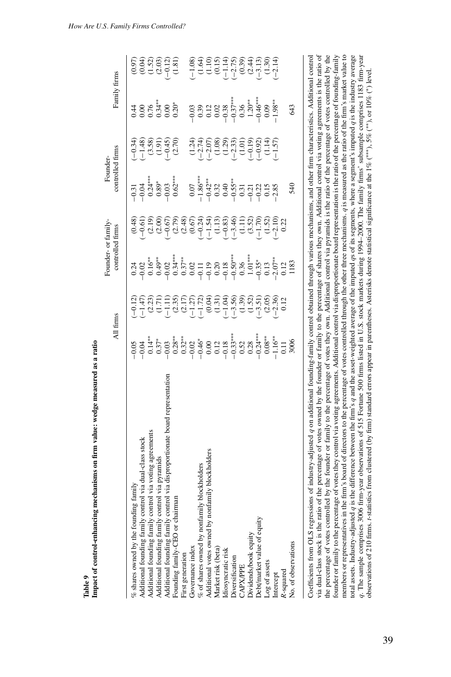| cing mechanisms on firm value: wedge measured as a ratio<br>Impact of control-enhan<br>Table 9                                                                                                                                                                                                                                                                                                                                                                                                                                                                                                                                                                                                                                                                                                                                                                                                                                                                                                                                                                                                                                                                                                                                                                                                                                                                                                                                                                                                                                                                                          |                                                                                               |                                                                                                                                                                                                                                                                                                      |                                                                                                            |                                                                                                                                                                                                        |                                                                                    |                                                                                                                                                                                                                                                                                                                                                  |                                                                                                                                                                                                     |                                                                                                                                                                                                                                                                                                               |
|-----------------------------------------------------------------------------------------------------------------------------------------------------------------------------------------------------------------------------------------------------------------------------------------------------------------------------------------------------------------------------------------------------------------------------------------------------------------------------------------------------------------------------------------------------------------------------------------------------------------------------------------------------------------------------------------------------------------------------------------------------------------------------------------------------------------------------------------------------------------------------------------------------------------------------------------------------------------------------------------------------------------------------------------------------------------------------------------------------------------------------------------------------------------------------------------------------------------------------------------------------------------------------------------------------------------------------------------------------------------------------------------------------------------------------------------------------------------------------------------------------------------------------------------------------------------------------------------|-----------------------------------------------------------------------------------------------|------------------------------------------------------------------------------------------------------------------------------------------------------------------------------------------------------------------------------------------------------------------------------------------------------|------------------------------------------------------------------------------------------------------------|--------------------------------------------------------------------------------------------------------------------------------------------------------------------------------------------------------|------------------------------------------------------------------------------------|--------------------------------------------------------------------------------------------------------------------------------------------------------------------------------------------------------------------------------------------------------------------------------------------------------------------------------------------------|-----------------------------------------------------------------------------------------------------------------------------------------------------------------------------------------------------|---------------------------------------------------------------------------------------------------------------------------------------------------------------------------------------------------------------------------------------------------------------------------------------------------------------|
|                                                                                                                                                                                                                                                                                                                                                                                                                                                                                                                                                                                                                                                                                                                                                                                                                                                                                                                                                                                                                                                                                                                                                                                                                                                                                                                                                                                                                                                                                                                                                                                         | All firms                                                                                     |                                                                                                                                                                                                                                                                                                      |                                                                                                            | Founder- or family-<br>controlled firms                                                                                                                                                                |                                                                                    | controlled firms<br>Founder-                                                                                                                                                                                                                                                                                                                     | Family firms                                                                                                                                                                                        |                                                                                                                                                                                                                                                                                                               |
| $%$ shares owned by the founding family                                                                                                                                                                                                                                                                                                                                                                                                                                                                                                                                                                                                                                                                                                                                                                                                                                                                                                                                                                                                                                                                                                                                                                                                                                                                                                                                                                                                                                                                                                                                                 | $-0.05$                                                                                       | $(-0.12)$                                                                                                                                                                                                                                                                                            |                                                                                                            | (0.48)                                                                                                                                                                                                 |                                                                                    |                                                                                                                                                                                                                                                                                                                                                  | 0.44                                                                                                                                                                                                |                                                                                                                                                                                                                                                                                                               |
| y control via dual-class stock<br>Additional founding famil                                                                                                                                                                                                                                                                                                                                                                                                                                                                                                                                                                                                                                                                                                                                                                                                                                                                                                                                                                                                                                                                                                                                                                                                                                                                                                                                                                                                                                                                                                                             | $-0.04$                                                                                       |                                                                                                                                                                                                                                                                                                      | $0.24$<br>$0.02$<br>$0.49$ <sup>**</sup><br>$0.49$ <sup>**</sup>                                           | $-0.61$                                                                                                                                                                                                | $\begin{array}{r} -0.31 \\ -0.04 \\ 0.24*** \\ 0.89* \end{array}$                  | $(-1.48)$<br>$(-1.48)$<br>$(-1.48)$<br>$(-1.58)$<br>$(-1.91)$                                                                                                                                                                                                                                                                                    |                                                                                                                                                                                                     |                                                                                                                                                                                                                                                                                                               |
| Additional founding family control via voting agreements                                                                                                                                                                                                                                                                                                                                                                                                                                                                                                                                                                                                                                                                                                                                                                                                                                                                                                                                                                                                                                                                                                                                                                                                                                                                                                                                                                                                                                                                                                                                |                                                                                               |                                                                                                                                                                                                                                                                                                      |                                                                                                            |                                                                                                                                                                                                        |                                                                                    |                                                                                                                                                                                                                                                                                                                                                  |                                                                                                                                                                                                     |                                                                                                                                                                                                                                                                                                               |
| Additional founding family control via pyramids<br>Additional founding family control via dispropor                                                                                                                                                                                                                                                                                                                                                                                                                                                                                                                                                                                                                                                                                                                                                                                                                                                                                                                                                                                                                                                                                                                                                                                                                                                                                                                                                                                                                                                                                     | $0.14**$<br>$-0.37*$                                                                          | មិនមាន<br>មិនមាន<br>មិនមាន                                                                                                                                                                                                                                                                           |                                                                                                            | $(2.19)$<br>$(2.00)$<br>$-0.67$                                                                                                                                                                        |                                                                                    |                                                                                                                                                                                                                                                                                                                                                  | $0.75$<br>$0.34$<br>$0.00$                                                                                                                                                                          |                                                                                                                                                                                                                                                                                                               |
| y control via disproportionate board representation                                                                                                                                                                                                                                                                                                                                                                                                                                                                                                                                                                                                                                                                                                                                                                                                                                                                                                                                                                                                                                                                                                                                                                                                                                                                                                                                                                                                                                                                                                                                     |                                                                                               |                                                                                                                                                                                                                                                                                                      |                                                                                                            |                                                                                                                                                                                                        |                                                                                    |                                                                                                                                                                                                                                                                                                                                                  |                                                                                                                                                                                                     |                                                                                                                                                                                                                                                                                                               |
| chairman<br>Founding family-CEO or                                                                                                                                                                                                                                                                                                                                                                                                                                                                                                                                                                                                                                                                                                                                                                                                                                                                                                                                                                                                                                                                                                                                                                                                                                                                                                                                                                                                                                                                                                                                                      | $0.28**$                                                                                      | $\begin{array}{l} (2.35)\\ (2.17)\\ (3.17)\\ (1.17)\\ (2.17)\\ (3.39)\\ (4.31)\\ (5.31)\\ (6.31)\\ (7.31)\\ (8.31)\\ (9.31)\\ (1.31)\\ (1.31)\\ (1.31)\\ (1.31)\\ (1.31)\\ (1.31)\\ (1.31)\\ (1.31)\\ (1.31)\\ (1.31)\\ (1.31)\\ (1.31)\\ (1.31)\\ (1.31)\\ (1.31)\\ (1.31)\\ (1.31)\\ (1.31)\\ (1.$ | $\begin{array}{r} 0.34**\\ 0.37**\\ 0.37**\\ 0.02\\ -0.11\\ -0.19\\ -0.20\\ -0.50**\\ -0.50\\ \end{array}$ | $(2.79)\n(3.67)\n(3.73)\n(3.73)\n(3.73)\n(3.73)\n(4.73)\n(5.76)\n(6.73)\n(7.73)\n(8.79)\n(9.79)\n(1.79)\n(1.79)\n(2.79)\n(3.79)\n(4.79)\n(5.79)\n(6.79)\n(7.79)\n(8.79)\n(9.79)\n(1.79)\n(1.79)\n(1.7$ | $-0.03$<br>0.62***                                                                 | $(-0.45)$<br>(2.70)                                                                                                                                                                                                                                                                                                                              | $0.20*$                                                                                                                                                                                             | (1.81)                                                                                                                                                                                                                                                                                                        |
| First generation                                                                                                                                                                                                                                                                                                                                                                                                                                                                                                                                                                                                                                                                                                                                                                                                                                                                                                                                                                                                                                                                                                                                                                                                                                                                                                                                                                                                                                                                                                                                                                        |                                                                                               |                                                                                                                                                                                                                                                                                                      |                                                                                                            |                                                                                                                                                                                                        |                                                                                    |                                                                                                                                                                                                                                                                                                                                                  |                                                                                                                                                                                                     |                                                                                                                                                                                                                                                                                                               |
| Governance index                                                                                                                                                                                                                                                                                                                                                                                                                                                                                                                                                                                                                                                                                                                                                                                                                                                                                                                                                                                                                                                                                                                                                                                                                                                                                                                                                                                                                                                                                                                                                                        |                                                                                               |                                                                                                                                                                                                                                                                                                      |                                                                                                            |                                                                                                                                                                                                        |                                                                                    |                                                                                                                                                                                                                                                                                                                                                  |                                                                                                                                                                                                     |                                                                                                                                                                                                                                                                                                               |
| family blockholders<br>$\%$ of shares owned by non                                                                                                                                                                                                                                                                                                                                                                                                                                                                                                                                                                                                                                                                                                                                                                                                                                                                                                                                                                                                                                                                                                                                                                                                                                                                                                                                                                                                                                                                                                                                      |                                                                                               |                                                                                                                                                                                                                                                                                                      |                                                                                                            |                                                                                                                                                                                                        |                                                                                    |                                                                                                                                                                                                                                                                                                                                                  |                                                                                                                                                                                                     |                                                                                                                                                                                                                                                                                                               |
| Additional votes owned by nonfamily blockholders                                                                                                                                                                                                                                                                                                                                                                                                                                                                                                                                                                                                                                                                                                                                                                                                                                                                                                                                                                                                                                                                                                                                                                                                                                                                                                                                                                                                                                                                                                                                        |                                                                                               |                                                                                                                                                                                                                                                                                                      |                                                                                                            |                                                                                                                                                                                                        |                                                                                    |                                                                                                                                                                                                                                                                                                                                                  |                                                                                                                                                                                                     |                                                                                                                                                                                                                                                                                                               |
| Market risk (beta)                                                                                                                                                                                                                                                                                                                                                                                                                                                                                                                                                                                                                                                                                                                                                                                                                                                                                                                                                                                                                                                                                                                                                                                                                                                                                                                                                                                                                                                                                                                                                                      |                                                                                               |                                                                                                                                                                                                                                                                                                      |                                                                                                            |                                                                                                                                                                                                        |                                                                                    |                                                                                                                                                                                                                                                                                                                                                  |                                                                                                                                                                                                     |                                                                                                                                                                                                                                                                                                               |
| Idiosyncratic risk                                                                                                                                                                                                                                                                                                                                                                                                                                                                                                                                                                                                                                                                                                                                                                                                                                                                                                                                                                                                                                                                                                                                                                                                                                                                                                                                                                                                                                                                                                                                                                      |                                                                                               |                                                                                                                                                                                                                                                                                                      |                                                                                                            |                                                                                                                                                                                                        |                                                                                    |                                                                                                                                                                                                                                                                                                                                                  |                                                                                                                                                                                                     |                                                                                                                                                                                                                                                                                                               |
|                                                                                                                                                                                                                                                                                                                                                                                                                                                                                                                                                                                                                                                                                                                                                                                                                                                                                                                                                                                                                                                                                                                                                                                                                                                                                                                                                                                                                                                                                                                                                                                         | $\begin{array}{c} 0.32** \\ -0.02 \\ -0.46\\ 0.01 \\ -0.012 \\ -0.18 \\ -0.33*** \end{array}$ |                                                                                                                                                                                                                                                                                                      |                                                                                                            |                                                                                                                                                                                                        | $0.07$<br>$-1.86$ ***<br>$-1.92$ **<br>$-0.32$<br>$-0.55$ **<br>$-0.51$<br>$-0.31$ | $\begin{array}{c} 1.24 \\ -1.74 \\ -1.05 \\ -1.09 \\ -1.09 \\ -1.09 \\ -1.09 \\ -1.09 \\ -1.09 \\ -1.09 \\ -1.09 \\ -1.09 \\ -1.09 \\ -1.09 \\ -1.09 \\ -1.09 \\ -1.09 \\ -1.09 \\ -1.09 \\ -1.09 \\ -1.09 \\ -1.09 \\ -1.09 \\ -1.09 \\ -1.09 \\ -1.09 \\ -1.09 \\ -1.09 \\ -1.09 \\ -1.09 \\ -1.09 \\ -1.09 \\ -1.09 \\ -1.09 \\ -1.09 \\ -1.$ | $-0.03\n-0.39\n-0.32\n-0.38\n-0.36\n-0.36\n-0.46\n-0.46\n-0.46\n-0.46\n-0.46\n-0.46\n-0.46\n-0.46\n-0.46\n-0.46\n-0.46\n-0.46\n-0.46\n-0.46\n-0.46\n-0.46\n-0.46\n-0.46\n-0.46\n-0.46\n-0.46\n-0.4$ |                                                                                                                                                                                                                                                                                                               |
| Diversification<br>CAPX/PPE                                                                                                                                                                                                                                                                                                                                                                                                                                                                                                                                                                                                                                                                                                                                                                                                                                                                                                                                                                                                                                                                                                                                                                                                                                                                                                                                                                                                                                                                                                                                                             | $0.52\,$                                                                                      |                                                                                                                                                                                                                                                                                                      |                                                                                                            | (1.11)                                                                                                                                                                                                 |                                                                                    |                                                                                                                                                                                                                                                                                                                                                  |                                                                                                                                                                                                     |                                                                                                                                                                                                                                                                                                               |
| Dividends/book equity                                                                                                                                                                                                                                                                                                                                                                                                                                                                                                                                                                                                                                                                                                                                                                                                                                                                                                                                                                                                                                                                                                                                                                                                                                                                                                                                                                                                                                                                                                                                                                   |                                                                                               |                                                                                                                                                                                                                                                                                                      |                                                                                                            |                                                                                                                                                                                                        |                                                                                    |                                                                                                                                                                                                                                                                                                                                                  |                                                                                                                                                                                                     |                                                                                                                                                                                                                                                                                                               |
| B<br>Debt/market value of equi                                                                                                                                                                                                                                                                                                                                                                                                                                                                                                                                                                                                                                                                                                                                                                                                                                                                                                                                                                                                                                                                                                                                                                                                                                                                                                                                                                                                                                                                                                                                                          |                                                                                               |                                                                                                                                                                                                                                                                                                      |                                                                                                            |                                                                                                                                                                                                        |                                                                                    |                                                                                                                                                                                                                                                                                                                                                  |                                                                                                                                                                                                     |                                                                                                                                                                                                                                                                                                               |
| Log of assets                                                                                                                                                                                                                                                                                                                                                                                                                                                                                                                                                                                                                                                                                                                                                                                                                                                                                                                                                                                                                                                                                                                                                                                                                                                                                                                                                                                                                                                                                                                                                                           | $\begin{array}{c} 0.28 \\ -0.24*** \\ 0.08*** \end{array}$                                    |                                                                                                                                                                                                                                                                                                      |                                                                                                            |                                                                                                                                                                                                        | $-0.21$<br>$-0.15$<br>$-0.38$                                                      |                                                                                                                                                                                                                                                                                                                                                  | 0.09                                                                                                                                                                                                | $\begin{array}{c} 0.39 \\ 0.41 \\ 0.31 \\ 0.31 \\ 0.31 \\ 0.41 \\ 0.41 \\ 0.41 \\ 0.41 \\ 0.41 \\ 0.41 \\ 0.41 \\ 0.41 \\ 0.41 \\ 0.41 \\ 0.41 \\ 0.41 \\ 0.41 \\ 0.41 \\ 0.41 \\ 0.41 \\ 0.42 \\ 0.42 \\ 0.43 \\ 0.43 \\ 0.44 \\ 0.45 \\ 0.45 \\ 0.47 \\ 0.47 \\ 0.49 \\ 0.49 \\ 0.49 \\ 0.49 \\ 0.49 \\ 0.$ |
| Intercept                                                                                                                                                                                                                                                                                                                                                                                                                                                                                                                                                                                                                                                                                                                                                                                                                                                                                                                                                                                                                                                                                                                                                                                                                                                                                                                                                                                                                                                                                                                                                                               | $-1.16***$                                                                                    | 39<br>0.52<br>0.52<br>0.50<br>0.12<br>0.12                                                                                                                                                                                                                                                           | $1.01***$<br>$-0.35*$<br>$-0.13$<br>$-2.07**$<br>$0.12$                                                    | 350<br>17630<br>1770                                                                                                                                                                                   |                                                                                    |                                                                                                                                                                                                                                                                                                                                                  | $-1.98***$                                                                                                                                                                                          |                                                                                                                                                                                                                                                                                                               |
| R-squared                                                                                                                                                                                                                                                                                                                                                                                                                                                                                                                                                                                                                                                                                                                                                                                                                                                                                                                                                                                                                                                                                                                                                                                                                                                                                                                                                                                                                                                                                                                                                                               | 0.11                                                                                          |                                                                                                                                                                                                                                                                                                      |                                                                                                            |                                                                                                                                                                                                        |                                                                                    |                                                                                                                                                                                                                                                                                                                                                  |                                                                                                                                                                                                     |                                                                                                                                                                                                                                                                                                               |
| No. of observations                                                                                                                                                                                                                                                                                                                                                                                                                                                                                                                                                                                                                                                                                                                                                                                                                                                                                                                                                                                                                                                                                                                                                                                                                                                                                                                                                                                                                                                                                                                                                                     | 3006                                                                                          |                                                                                                                                                                                                                                                                                                      | 1183                                                                                                       |                                                                                                                                                                                                        | 540                                                                                |                                                                                                                                                                                                                                                                                                                                                  | 543                                                                                                                                                                                                 |                                                                                                                                                                                                                                                                                                               |
| the percentage of votes controlled by the founder or family to the percentage of votes they own. Additional control via pyramids is the ratio of the percentage of votes controlled by the<br>members or representatives in the firm's board of directors to the percentage of votes controlled through the other three mechanisms. q is measured as the ratio of the firm's market value to<br>ted q is the difference between the firm's q and the asset-weighted average of the imputed qs of its segments, where a segment's imputed q is the industry average<br>via dual-class stock is the ratio of the percentage of votes owned by the founder or family to the percentage of shares they own. Additional control via voting agreements is the ratio of<br>founder or family to the percentage of votes they control via voting agreements. Additional control via disproportionate board representation is the ratio of the percentage of founding-family<br>Coefficients from OLS regressions of industry-adjusted q on additional founding-family control obtained through various mechanisms, and other firm characteristics. Additional control<br>3006 firm-year observations of 515 Fortune 500 firms listed in U.S. stock markets during 1994-2000. The family firms' subsample comprises 1183 firm-year<br>r-statistics from clustered (by firm) standard errors appear in parentheses. Asterisks denote statistical significance at the 1% (***), 5% (**), or 10% (*) level<br>total assets. Industry-adjus<br>q. The sample comprises<br>observations of 210 firms. |                                                                                               |                                                                                                                                                                                                                                                                                                      |                                                                                                            |                                                                                                                                                                                                        |                                                                                    |                                                                                                                                                                                                                                                                                                                                                  |                                                                                                                                                                                                     |                                                                                                                                                                                                                                                                                                               |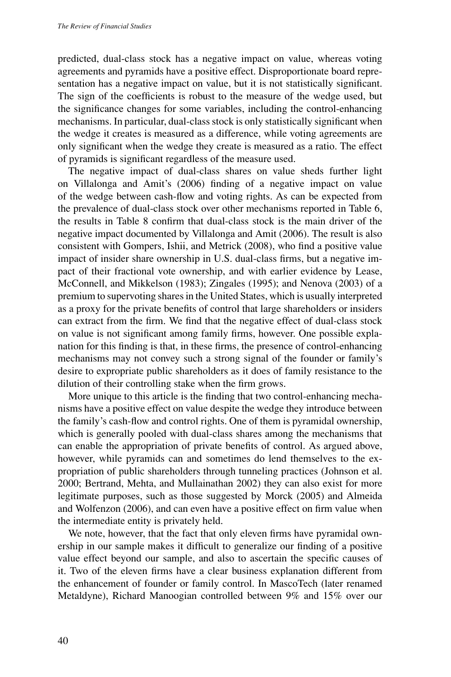predicted, dual-class stock has a negative impact on value, whereas voting agreements and pyramids have a positive effect. Disproportionate board representation has a negative impact on value, but it is not statistically significant. The sign of the coefficients is robust to the measure of the wedge used, but the significance changes for some variables, including the control-enhancing mechanisms. In particular, dual-class stock is only statistically significant when the wedge it creates is measured as a difference, while voting agreements are only significant when the wedge they create is measured as a ratio. The effect of pyramids is significant regardless of the measure used.

The negative impact of dual-class shares on value sheds further light on Villalonga and Amit's (2006) finding of a negative impact on value of the wedge between cash-flow and voting rights. As can be expected from the prevalence of dual-class stock over other mechanisms reported in Table 6, the results in Table 8 confirm that dual-class stock is the main driver of the negative impact documented by Villalonga and Amit (2006). The result is also consistent with Gompers, Ishii, and Metrick (2008), who find a positive value impact of insider share ownership in U.S. dual-class firms, but a negative impact of their fractional vote ownership, and with earlier evidence by Lease, McConnell, and Mikkelson (1983); Zingales (1995); and Nenova (2003) of a premium to supervoting shares in the United States, which is usually interpreted as a proxy for the private benefits of control that large shareholders or insiders can extract from the firm. We find that the negative effect of dual-class stock on value is not significant among family firms, however. One possible explanation for this finding is that, in these firms, the presence of control-enhancing mechanisms may not convey such a strong signal of the founder or family's desire to expropriate public shareholders as it does of family resistance to the dilution of their controlling stake when the firm grows.

More unique to this article is the finding that two control-enhancing mechanisms have a positive effect on value despite the wedge they introduce between the family's cash-flow and control rights. One of them is pyramidal ownership, which is generally pooled with dual-class shares among the mechanisms that can enable the appropriation of private benefits of control. As argued above, however, while pyramids can and sometimes do lend themselves to the expropriation of public shareholders through tunneling practices (Johnson et al. 2000; Bertrand, Mehta, and Mullainathan 2002) they can also exist for more legitimate purposes, such as those suggested by Morck (2005) and Almeida and Wolfenzon (2006), and can even have a positive effect on firm value when the intermediate entity is privately held.

We note, however, that the fact that only eleven firms have pyramidal ownership in our sample makes it difficult to generalize our finding of a positive value effect beyond our sample, and also to ascertain the specific causes of it. Two of the eleven firms have a clear business explanation different from the enhancement of founder or family control. In MascoTech (later renamed Metaldyne), Richard Manoogian controlled between 9% and 15% over our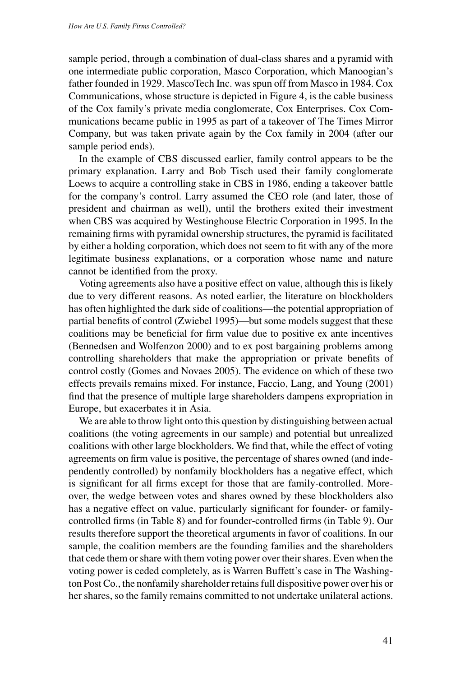sample period, through a combination of dual-class shares and a pyramid with one intermediate public corporation, Masco Corporation, which Manoogian's father founded in 1929. MascoTech Inc. was spun off from Masco in 1984. Cox Communications, whose structure is depicted in Figure 4, is the cable business of the Cox family's private media conglomerate, Cox Enterprises. Cox Communications became public in 1995 as part of a takeover of The Times Mirror Company, but was taken private again by the Cox family in 2004 (after our sample period ends).

In the example of CBS discussed earlier, family control appears to be the primary explanation. Larry and Bob Tisch used their family conglomerate Loews to acquire a controlling stake in CBS in 1986, ending a takeover battle for the company's control. Larry assumed the CEO role (and later, those of president and chairman as well), until the brothers exited their investment when CBS was acquired by Westinghouse Electric Corporation in 1995. In the remaining firms with pyramidal ownership structures, the pyramid is facilitated by either a holding corporation, which does not seem to fit with any of the more legitimate business explanations, or a corporation whose name and nature cannot be identified from the proxy.

Voting agreements also have a positive effect on value, although this is likely due to very different reasons. As noted earlier, the literature on blockholders has often highlighted the dark side of coalitions—the potential appropriation of partial benefits of control (Zwiebel 1995)—but some models suggest that these coalitions may be beneficial for firm value due to positive ex ante incentives (Bennedsen and Wolfenzon 2000) and to ex post bargaining problems among controlling shareholders that make the appropriation or private benefits of control costly (Gomes and Novaes 2005). The evidence on which of these two effects prevails remains mixed. For instance, Faccio, Lang, and Young (2001) find that the presence of multiple large shareholders dampens expropriation in Europe, but exacerbates it in Asia.

We are able to throw light onto this question by distinguishing between actual coalitions (the voting agreements in our sample) and potential but unrealized coalitions with other large blockholders. We find that, while the effect of voting agreements on firm value is positive, the percentage of shares owned (and independently controlled) by nonfamily blockholders has a negative effect, which is significant for all firms except for those that are family-controlled. Moreover, the wedge between votes and shares owned by these blockholders also has a negative effect on value, particularly significant for founder- or familycontrolled firms (in Table 8) and for founder-controlled firms (in Table 9). Our results therefore support the theoretical arguments in favor of coalitions. In our sample, the coalition members are the founding families and the shareholders that cede them or share with them voting power over their shares. Even when the voting power is ceded completely, as is Warren Buffett's case in The Washington Post Co., the nonfamily shareholder retains full dispositive power over his or her shares, so the family remains committed to not undertake unilateral actions.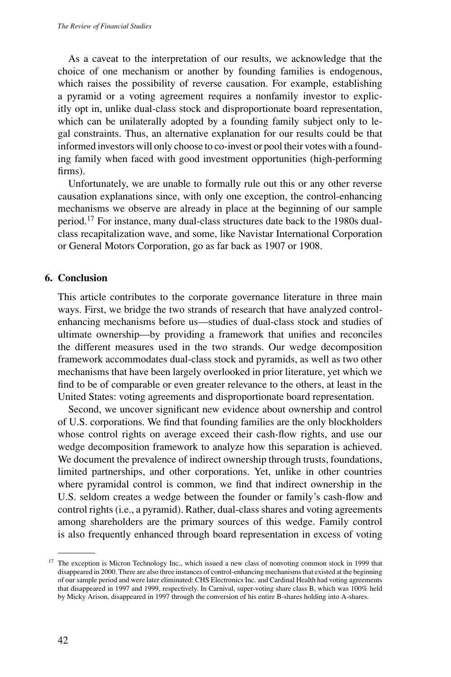As a caveat to the interpretation of our results, we acknowledge that the choice of one mechanism or another by founding families is endogenous, which raises the possibility of reverse causation. For example, establishing a pyramid or a voting agreement requires a nonfamily investor to explicitly opt in, unlike dual-class stock and disproportionate board representation, which can be unilaterally adopted by a founding family subject only to legal constraints. Thus, an alternative explanation for our results could be that informed investors will only choose to co-invest or pool their votes with a founding family when faced with good investment opportunities (high-performing firms).

Unfortunately, we are unable to formally rule out this or any other reverse causation explanations since, with only one exception, the control-enhancing mechanisms we observe are already in place at the beginning of our sample period.<sup>17</sup> For instance, many dual-class structures date back to the 1980s dualclass recapitalization wave, and some, like Navistar International Corporation or General Motors Corporation, go as far back as 1907 or 1908.

## **6. Conclusion**

This article contributes to the corporate governance literature in three main ways. First, we bridge the two strands of research that have analyzed controlenhancing mechanisms before us—studies of dual-class stock and studies of ultimate ownership—by providing a framework that unifies and reconciles the different measures used in the two strands. Our wedge decomposition framework accommodates dual-class stock and pyramids, as well as two other mechanisms that have been largely overlooked in prior literature, yet which we find to be of comparable or even greater relevance to the others, at least in the United States: voting agreements and disproportionate board representation.

Second, we uncover significant new evidence about ownership and control of U.S. corporations. We find that founding families are the only blockholders whose control rights on average exceed their cash-flow rights, and use our wedge decomposition framework to analyze how this separation is achieved. We document the prevalence of indirect ownership through trusts, foundations, limited partnerships, and other corporations. Yet, unlike in other countries where pyramidal control is common, we find that indirect ownership in the U.S. seldom creates a wedge between the founder or family's cash-flow and control rights (i.e., a pyramid). Rather, dual-class shares and voting agreements among shareholders are the primary sources of this wedge. Family control is also frequently enhanced through board representation in excess of voting

<sup>&</sup>lt;sup>17</sup> The exception is Micron Technology Inc., which issued a new class of nonvoting common stock in 1999 that disappeared in 2000. There are also three instances of control-enhancing mechanisms that existed at the beginning of our sample period and were later eliminated: CHS Electronics Inc. and Cardinal Health had voting agreements that disappeared in 1997 and 1999, respectively. In Carnival, super-voting share class B, which was 100% held by Micky Arison, disappeared in 1997 through the conversion of his entire B-shares holding into A-shares.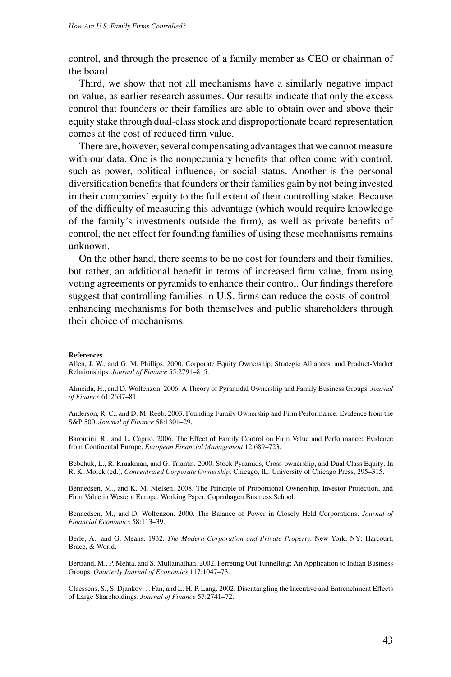control, and through the presence of a family member as CEO or chairman of the board.

Third, we show that not all mechanisms have a similarly negative impact on value, as earlier research assumes. Our results indicate that only the excess control that founders or their families are able to obtain over and above their equity stake through dual-class stock and disproportionate board representation comes at the cost of reduced firm value.

There are, however, several compensating advantages that we cannot measure with our data. One is the nonpecuniary benefits that often come with control, such as power, political influence, or social status. Another is the personal diversification benefits that founders or their families gain by not being invested in their companies' equity to the full extent of their controlling stake. Because of the difficulty of measuring this advantage (which would require knowledge of the family's investments outside the firm), as well as private benefits of control, the net effect for founding families of using these mechanisms remains unknown.

On the other hand, there seems to be no cost for founders and their families, but rather, an additional benefit in terms of increased firm value, from using voting agreements or pyramids to enhance their control. Our findings therefore suggest that controlling families in U.S. firms can reduce the costs of controlenhancing mechanisms for both themselves and public shareholders through their choice of mechanisms.

#### **References**

Allen, J. W., and G. M. Phillips. 2000. Corporate Equity Ownership, Strategic Alliances, and Product-Market Relationships. *Journal of Finance* 55:2791–815.

Almeida, H., and D. Wolfenzon. 2006. A Theory of Pyramidal Ownership and Family Business Groups. *Journal of Finance* 61:2637–81.

Anderson, R. C., and D. M. Reeb. 2003. Founding Family Ownership and Firm Performance: Evidence from the S&P 500. *Journal of Finance* 58:1301–29.

Barontini, R., and L. Caprio. 2006. The Effect of Family Control on Firm Value and Performance: Evidence from Continental Europe. *European Financial Management* 12:689–723.

Bebchuk, L., R. Kraakman, and G. Triantis. 2000. Stock Pyramids, Cross-ownership, and Dual Class Equity. In R. K. Morck (ed.), *Concentrated Corporate Ownership*. Chicago, IL: University of Chicago Press, 295–315.

Bennedsen, M., and K. M. Nielsen. 2008. The Principle of Proportional Ownership, Investor Protection, and Firm Value in Western Europe. Working Paper, Copenhagen Business School.

Bennedsen, M., and D. Wolfenzon. 2000. The Balance of Power in Closely Held Corporations. *Journal of Financial Economics* 58:113–39.

Berle, A., and G. Means. 1932. *The Modern Corporation and Private Property*. New York, NY: Harcourt, Brace, & World.

Bertrand, M., P. Mehta, and S. Mullainathan. 2002. Ferreting Out Tunnelling: An Application to Indian Business Groups. *Quarterly Journal of Economics* 117:1047–73.

Claessens, S., S. Djankov, J. Fan, and L. H. P. Lang. 2002. Disentangling the Incentive and Entrenchment Effects of Large Shareholdings. *Journal of Finance* 57:2741–72.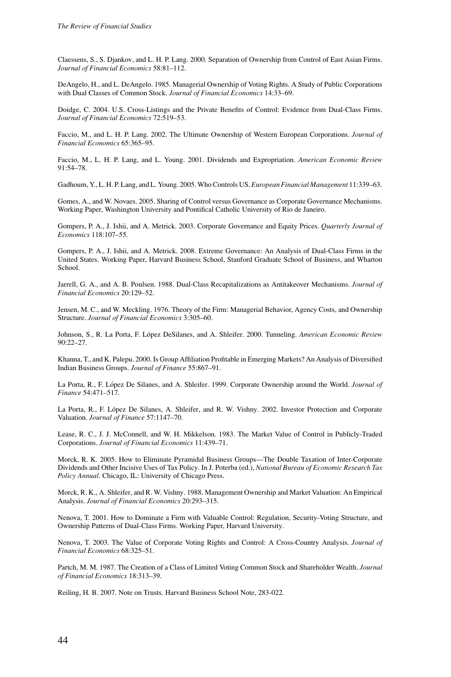Claessens, S., S. Djankov, and L. H. P. Lang. 2000. Separation of Ownership from Control of East Asian Firms. *Journal of Financial Economics* 58:81–112.

DeAngelo, H., and L. DeAngelo. 1985. Managerial Ownership of Voting Rights. A Study of Public Corporations with Dual Classes of Common Stock. *Journal of Financial Economics* 14:33–69.

Doidge, C. 2004. U.S. Cross-Listings and the Private Benefits of Control: Evidence from Dual-Class Firms. *Journal of Financial Economics* 72:519–53.

Faccio, M., and L. H. P. Lang. 2002. The Ultimate Ownership of Western European Corporations. *Journal of Financial Economics* 65:365–95.

Faccio, M., L. H. P. Lang, and L. Young. 2001. Dividends and Expropriation. *American Economic Review* 91:54–78.

Gadhoum, Y., L. H. P. Lang, and L. Young. 2005. Who Controls US. *European Financial Management* 11:339–63.

Gomes, A., and W. Novaes. 2005. Sharing of Control versus Governance as Corporate Governance Mechanisms. Working Paper, Washington University and Pontifical Catholic University of Rio de Janeiro.

Gompers, P. A., J. Ishii, and A. Metrick. 2003. Corporate Governance and Equity Prices. *Quarterly Journal of Economics* 118:107–55.

Gompers, P. A., J. Ishii, and A. Metrick. 2008. Extreme Governance: An Analysis of Dual-Class Firms in the United States. Working Paper, Harvard Business School, Stanford Graduate School of Business, and Wharton School.

Jarrell, G. A., and A. B. Poulsen. 1988. Dual-Class Recapitalizations as Antitakeover Mechanisms. *Journal of Financial Economics* 20:129–52.

Jensen, M. C., and W. Meckling. 1976. Theory of the Firm: Managerial Behavior, Agency Costs, and Ownership Structure. *Journal of Financial Economics* 3:305–60.

Johnson, S., R. La Porta, F. López DeSilanes, and A. Shleifer. 2000. Tunneling. American Economic Review 90:22–27.

Khanna, T., and K. Palepu. 2000. Is Group Affiliation Profitable in Emerging Markets? An Analysis of Diversified Indian Business Groups. *Journal of Finance* 55:867–91.

La Porta, R., F. López De Silanes, and A. Shleifer. 1999. Corporate Ownership around the World. *Journal of Finance* 54:471–517.

La Porta, R., F. López De Silanes, A. Shleifer, and R. W. Vishny. 2002. Investor Protection and Corporate Valuation. *Journal of Finance* 57:1147–70.

Lease, R. C., J. J. McConnell, and W. H. Mikkelson. 1983. The Market Value of Control in Publicly-Traded Corporations. *Journal of Financial Economics* 11:439–71.

Morck, R. K. 2005. How to Eliminate Pyramidal Business Groups—The Double Taxation of Inter-Corporate Dividends and Other Incisive Uses of Tax Policy. In J. Poterba (ed.), *National Bureau of Economic Research Tax Policy Annual*. Chicago, IL: University of Chicago Press.

Morck, R. K., A. Shleifer, and R. W. Vishny. 1988. Management Ownership and Market Valuation: An Empirical Analysis. *Journal of Financial Economics* 20:293–315.

Nenova, T. 2001. How to Dominate a Firm with Valuable Control: Regulation, Security-Voting Structure, and Ownership Patterns of Dual-Class Firms. Working Paper, Harvard University.

Nenova, T. 2003. The Value of Corporate Voting Rights and Control: A Cross-Country Analysis. *Journal of Financial Economics* 68:325–51.

Partch, M. M. 1987. The Creation of a Class of Limited Voting Common Stock and Shareholder Wealth. *Journal of Financial Economics* 18:313–39.

Reiling, H. B. 2007. Note on Trusts. Harvard Business School Note, 283-022.